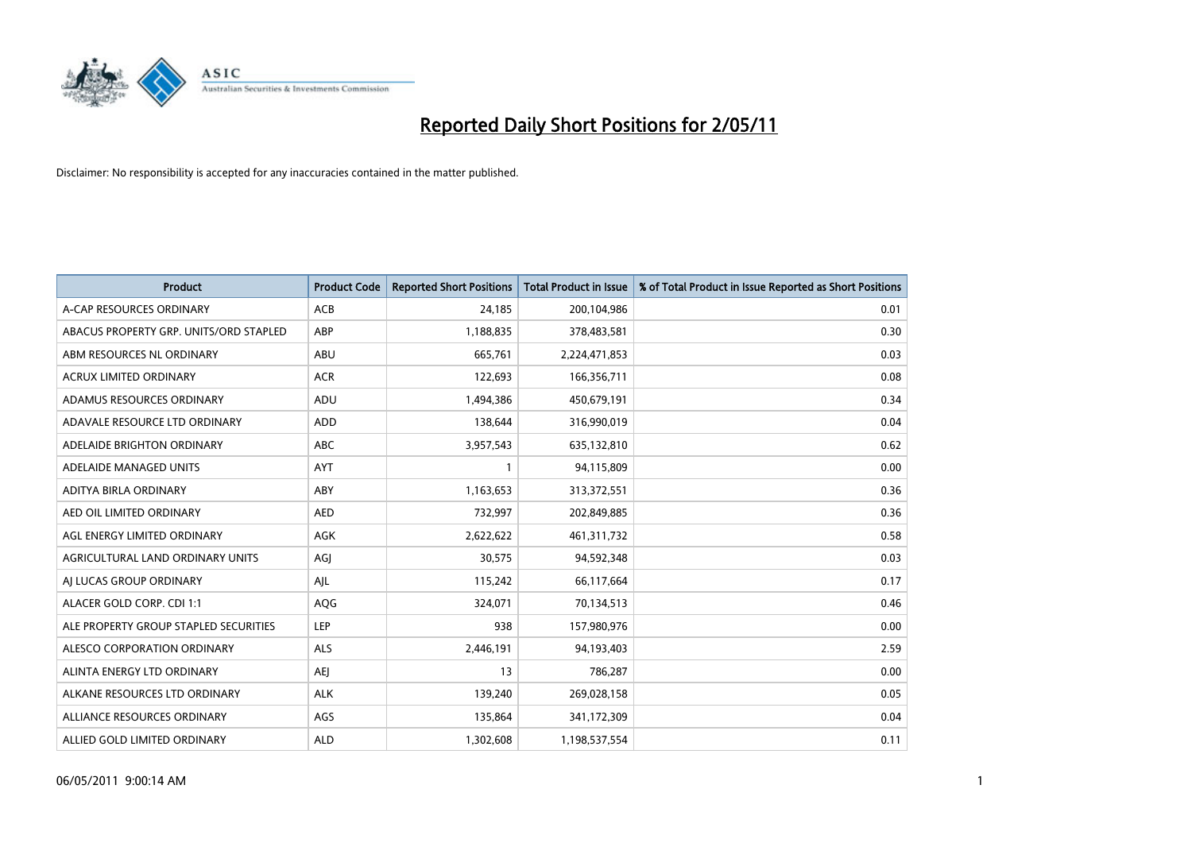

| <b>Product</b>                         | <b>Product Code</b> | <b>Reported Short Positions</b> | Total Product in Issue | % of Total Product in Issue Reported as Short Positions |
|----------------------------------------|---------------------|---------------------------------|------------------------|---------------------------------------------------------|
| A-CAP RESOURCES ORDINARY               | <b>ACB</b>          | 24,185                          | 200,104,986            | 0.01                                                    |
| ABACUS PROPERTY GRP. UNITS/ORD STAPLED | ABP                 | 1,188,835                       | 378,483,581            | 0.30                                                    |
| ABM RESOURCES NL ORDINARY              | ABU                 | 665,761                         | 2,224,471,853          | 0.03                                                    |
| ACRUX LIMITED ORDINARY                 | <b>ACR</b>          | 122,693                         | 166,356,711            | 0.08                                                    |
| ADAMUS RESOURCES ORDINARY              | ADU                 | 1,494,386                       | 450,679,191            | 0.34                                                    |
| ADAVALE RESOURCE LTD ORDINARY          | ADD                 | 138,644                         | 316,990,019            | 0.04                                                    |
| ADELAIDE BRIGHTON ORDINARY             | <b>ABC</b>          | 3,957,543                       | 635,132,810            | 0.62                                                    |
| ADELAIDE MANAGED UNITS                 | <b>AYT</b>          |                                 | 94,115,809             | 0.00                                                    |
| ADITYA BIRLA ORDINARY                  | ABY                 | 1,163,653                       | 313,372,551            | 0.36                                                    |
| AED OIL LIMITED ORDINARY               | <b>AED</b>          | 732,997                         | 202,849,885            | 0.36                                                    |
| AGL ENERGY LIMITED ORDINARY            | <b>AGK</b>          | 2,622,622                       | 461,311,732            | 0.58                                                    |
| AGRICULTURAL LAND ORDINARY UNITS       | AGJ                 | 30,575                          | 94,592,348             | 0.03                                                    |
| AI LUCAS GROUP ORDINARY                | AJL                 | 115,242                         | 66,117,664             | 0.17                                                    |
| ALACER GOLD CORP. CDI 1:1              | AQG                 | 324,071                         | 70,134,513             | 0.46                                                    |
| ALE PROPERTY GROUP STAPLED SECURITIES  | <b>LEP</b>          | 938                             | 157,980,976            | 0.00                                                    |
| ALESCO CORPORATION ORDINARY            | ALS                 | 2,446,191                       | 94,193,403             | 2.59                                                    |
| ALINTA ENERGY LTD ORDINARY             | <b>AEI</b>          | 13                              | 786,287                | 0.00                                                    |
| ALKANE RESOURCES LTD ORDINARY          | <b>ALK</b>          | 139,240                         | 269,028,158            | 0.05                                                    |
| ALLIANCE RESOURCES ORDINARY            | AGS                 | 135,864                         | 341,172,309            | 0.04                                                    |
| ALLIED GOLD LIMITED ORDINARY           | <b>ALD</b>          | 1,302,608                       | 1,198,537,554          | 0.11                                                    |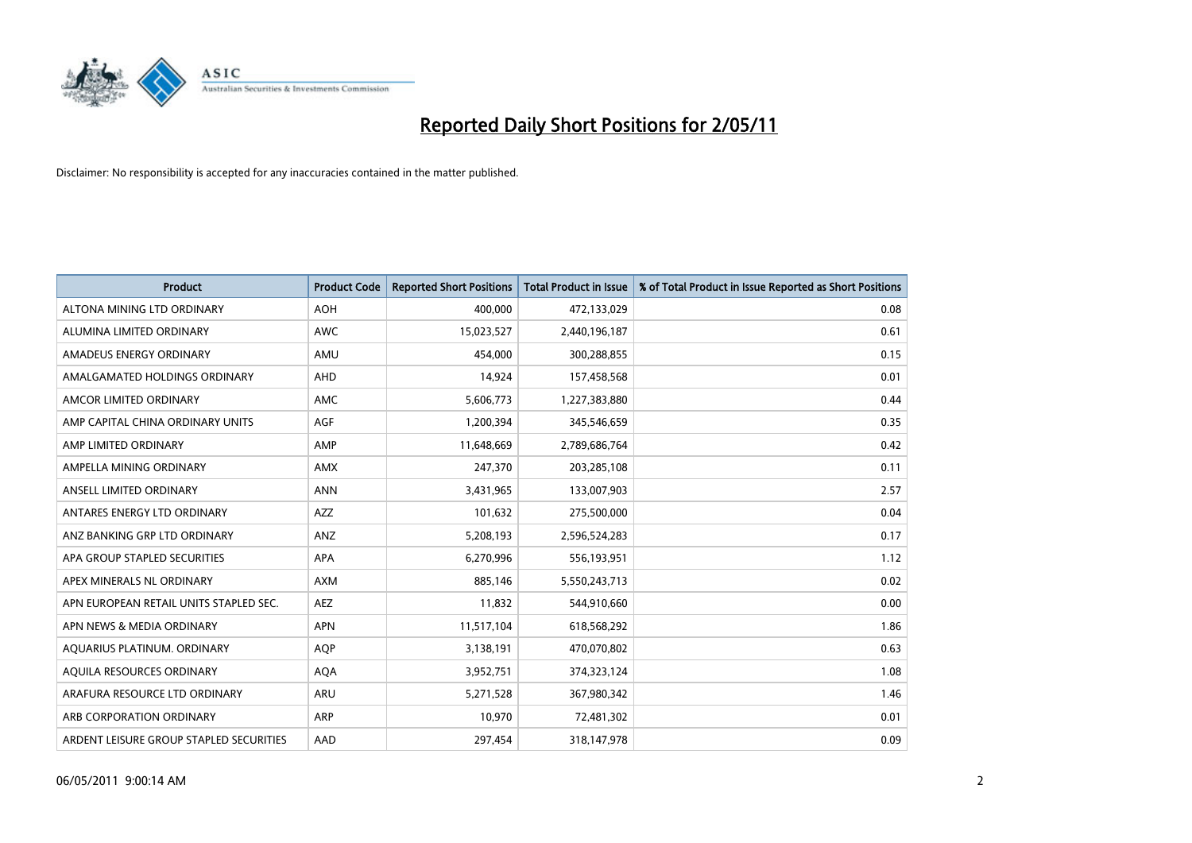

| <b>Product</b>                          | <b>Product Code</b> | <b>Reported Short Positions</b> | <b>Total Product in Issue</b> | % of Total Product in Issue Reported as Short Positions |
|-----------------------------------------|---------------------|---------------------------------|-------------------------------|---------------------------------------------------------|
| ALTONA MINING LTD ORDINARY              | <b>AOH</b>          | 400.000                         | 472,133,029                   | 0.08                                                    |
| ALUMINA LIMITED ORDINARY                | <b>AWC</b>          | 15,023,527                      | 2,440,196,187                 | 0.61                                                    |
| AMADEUS ENERGY ORDINARY                 | AMU                 | 454,000                         | 300,288,855                   | 0.15                                                    |
| AMALGAMATED HOLDINGS ORDINARY           | AHD                 | 14,924                          | 157,458,568                   | 0.01                                                    |
| AMCOR LIMITED ORDINARY                  | AMC                 | 5,606,773                       | 1,227,383,880                 | 0.44                                                    |
| AMP CAPITAL CHINA ORDINARY UNITS        | AGF                 | 1,200,394                       | 345,546,659                   | 0.35                                                    |
| AMP LIMITED ORDINARY                    | AMP                 | 11,648,669                      | 2,789,686,764                 | 0.42                                                    |
| AMPELLA MINING ORDINARY                 | <b>AMX</b>          | 247,370                         | 203,285,108                   | 0.11                                                    |
| ANSELL LIMITED ORDINARY                 | <b>ANN</b>          | 3,431,965                       | 133,007,903                   | 2.57                                                    |
| ANTARES ENERGY LTD ORDINARY             | <b>AZZ</b>          | 101,632                         | 275,500,000                   | 0.04                                                    |
| ANZ BANKING GRP LTD ORDINARY            | ANZ                 | 5,208,193                       | 2,596,524,283                 | 0.17                                                    |
| APA GROUP STAPLED SECURITIES            | <b>APA</b>          | 6,270,996                       | 556,193,951                   | 1.12                                                    |
| APEX MINERALS NL ORDINARY               | <b>AXM</b>          | 885,146                         | 5,550,243,713                 | 0.02                                                    |
| APN EUROPEAN RETAIL UNITS STAPLED SEC.  | <b>AEZ</b>          | 11,832                          | 544,910,660                   | 0.00                                                    |
| APN NEWS & MEDIA ORDINARY               | <b>APN</b>          | 11,517,104                      | 618,568,292                   | 1.86                                                    |
| AQUARIUS PLATINUM. ORDINARY             | <b>AQP</b>          | 3,138,191                       | 470,070,802                   | 0.63                                                    |
| AQUILA RESOURCES ORDINARY               | <b>AQA</b>          | 3,952,751                       | 374,323,124                   | 1.08                                                    |
| ARAFURA RESOURCE LTD ORDINARY           | <b>ARU</b>          | 5,271,528                       | 367,980,342                   | 1.46                                                    |
| ARB CORPORATION ORDINARY                | ARP                 | 10,970                          | 72,481,302                    | 0.01                                                    |
| ARDENT LEISURE GROUP STAPLED SECURITIES | AAD                 | 297,454                         | 318,147,978                   | 0.09                                                    |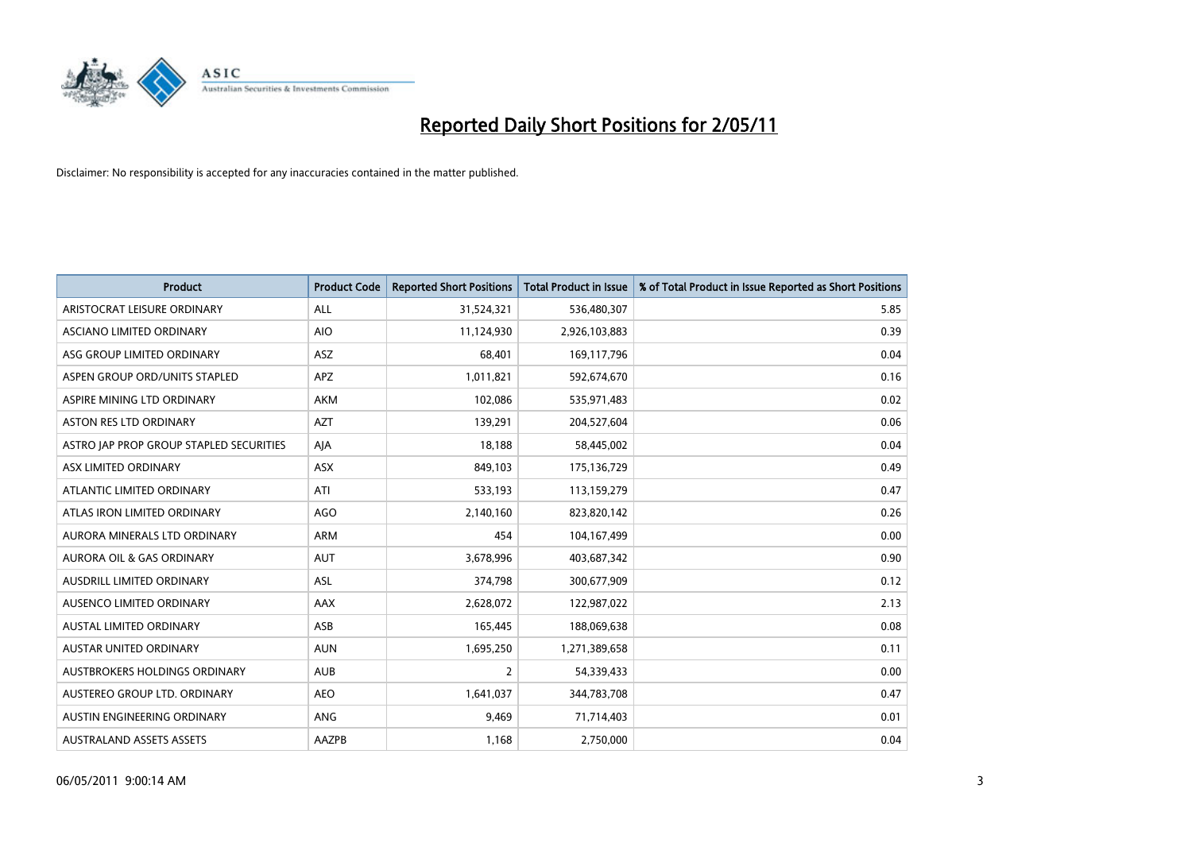

| <b>Product</b>                          | <b>Product Code</b> | <b>Reported Short Positions</b> | Total Product in Issue | % of Total Product in Issue Reported as Short Positions |
|-----------------------------------------|---------------------|---------------------------------|------------------------|---------------------------------------------------------|
| ARISTOCRAT LEISURE ORDINARY             | ALL                 | 31,524,321                      | 536,480,307            | 5.85                                                    |
| ASCIANO LIMITED ORDINARY                | <b>AIO</b>          | 11,124,930                      | 2,926,103,883          | 0.39                                                    |
| ASG GROUP LIMITED ORDINARY              | ASZ                 | 68,401                          | 169,117,796            | 0.04                                                    |
| ASPEN GROUP ORD/UNITS STAPLED           | APZ                 | 1,011,821                       | 592,674,670            | 0.16                                                    |
| ASPIRE MINING LTD ORDINARY              | <b>AKM</b>          | 102,086                         | 535,971,483            | 0.02                                                    |
| <b>ASTON RES LTD ORDINARY</b>           | <b>AZT</b>          | 139,291                         | 204,527,604            | 0.06                                                    |
| ASTRO JAP PROP GROUP STAPLED SECURITIES | AJA                 | 18,188                          | 58,445,002             | 0.04                                                    |
| ASX LIMITED ORDINARY                    | ASX                 | 849,103                         | 175,136,729            | 0.49                                                    |
| ATLANTIC LIMITED ORDINARY               | ATI                 | 533,193                         | 113,159,279            | 0.47                                                    |
| ATLAS IRON LIMITED ORDINARY             | <b>AGO</b>          | 2,140,160                       | 823,820,142            | 0.26                                                    |
| AURORA MINERALS LTD ORDINARY            | <b>ARM</b>          | 454                             | 104,167,499            | 0.00                                                    |
| AURORA OIL & GAS ORDINARY               | <b>AUT</b>          | 3,678,996                       | 403,687,342            | 0.90                                                    |
| AUSDRILL LIMITED ORDINARY               | ASL                 | 374,798                         | 300,677,909            | 0.12                                                    |
| <b>AUSENCO LIMITED ORDINARY</b>         | <b>AAX</b>          | 2,628,072                       | 122,987,022            | 2.13                                                    |
| <b>AUSTAL LIMITED ORDINARY</b>          | ASB                 | 165,445                         | 188,069,638            | 0.08                                                    |
| <b>AUSTAR UNITED ORDINARY</b>           | <b>AUN</b>          | 1,695,250                       | 1,271,389,658          | 0.11                                                    |
| AUSTBROKERS HOLDINGS ORDINARY           | <b>AUB</b>          | $\overline{2}$                  | 54,339,433             | 0.00                                                    |
| AUSTEREO GROUP LTD. ORDINARY            | <b>AEO</b>          | 1,641,037                       | 344,783,708            | 0.47                                                    |
| AUSTIN ENGINEERING ORDINARY             | <b>ANG</b>          | 9,469                           | 71,714,403             | 0.01                                                    |
| <b>AUSTRALAND ASSETS ASSETS</b>         | AAZPB               | 1,168                           | 2,750,000              | 0.04                                                    |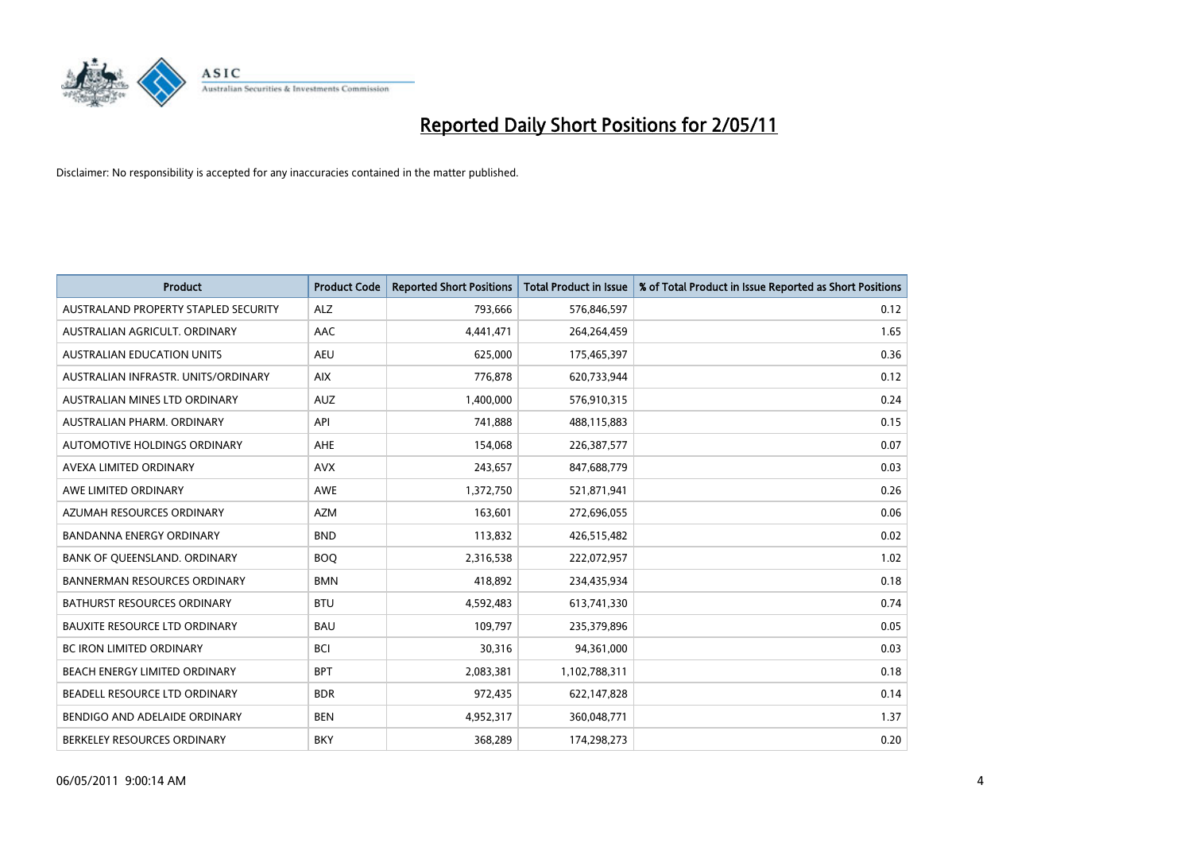

| <b>Product</b>                       | <b>Product Code</b> | <b>Reported Short Positions</b> | Total Product in Issue | % of Total Product in Issue Reported as Short Positions |
|--------------------------------------|---------------------|---------------------------------|------------------------|---------------------------------------------------------|
| AUSTRALAND PROPERTY STAPLED SECURITY | <b>ALZ</b>          | 793,666                         | 576,846,597            | 0.12                                                    |
| AUSTRALIAN AGRICULT. ORDINARY        | AAC                 | 4,441,471                       | 264,264,459            | 1.65                                                    |
| <b>AUSTRALIAN EDUCATION UNITS</b>    | <b>AEU</b>          | 625,000                         | 175,465,397            | 0.36                                                    |
| AUSTRALIAN INFRASTR. UNITS/ORDINARY  | <b>AIX</b>          | 776,878                         | 620,733,944            | 0.12                                                    |
| AUSTRALIAN MINES LTD ORDINARY        | <b>AUZ</b>          | 1,400,000                       | 576,910,315            | 0.24                                                    |
| AUSTRALIAN PHARM, ORDINARY           | API                 | 741,888                         | 488,115,883            | 0.15                                                    |
| AUTOMOTIVE HOLDINGS ORDINARY         | <b>AHE</b>          | 154,068                         | 226,387,577            | 0.07                                                    |
| AVEXA LIMITED ORDINARY               | <b>AVX</b>          | 243,657                         | 847,688,779            | 0.03                                                    |
| AWE LIMITED ORDINARY                 | <b>AWE</b>          | 1,372,750                       | 521,871,941            | 0.26                                                    |
| AZUMAH RESOURCES ORDINARY            | <b>AZM</b>          | 163,601                         | 272,696,055            | 0.06                                                    |
| BANDANNA ENERGY ORDINARY             | <b>BND</b>          | 113,832                         | 426,515,482            | 0.02                                                    |
| BANK OF QUEENSLAND. ORDINARY         | <b>BOQ</b>          | 2,316,538                       | 222,072,957            | 1.02                                                    |
| <b>BANNERMAN RESOURCES ORDINARY</b>  | <b>BMN</b>          | 418,892                         | 234,435,934            | 0.18                                                    |
| <b>BATHURST RESOURCES ORDINARY</b>   | <b>BTU</b>          | 4,592,483                       | 613,741,330            | 0.74                                                    |
| <b>BAUXITE RESOURCE LTD ORDINARY</b> | <b>BAU</b>          | 109,797                         | 235,379,896            | 0.05                                                    |
| BC IRON LIMITED ORDINARY             | <b>BCI</b>          | 30,316                          | 94,361,000             | 0.03                                                    |
| BEACH ENERGY LIMITED ORDINARY        | <b>BPT</b>          | 2,083,381                       | 1,102,788,311          | 0.18                                                    |
| BEADELL RESOURCE LTD ORDINARY        | <b>BDR</b>          | 972,435                         | 622,147,828            | 0.14                                                    |
| BENDIGO AND ADELAIDE ORDINARY        | <b>BEN</b>          | 4,952,317                       | 360,048,771            | 1.37                                                    |
| BERKELEY RESOURCES ORDINARY          | <b>BKY</b>          | 368,289                         | 174,298,273            | 0.20                                                    |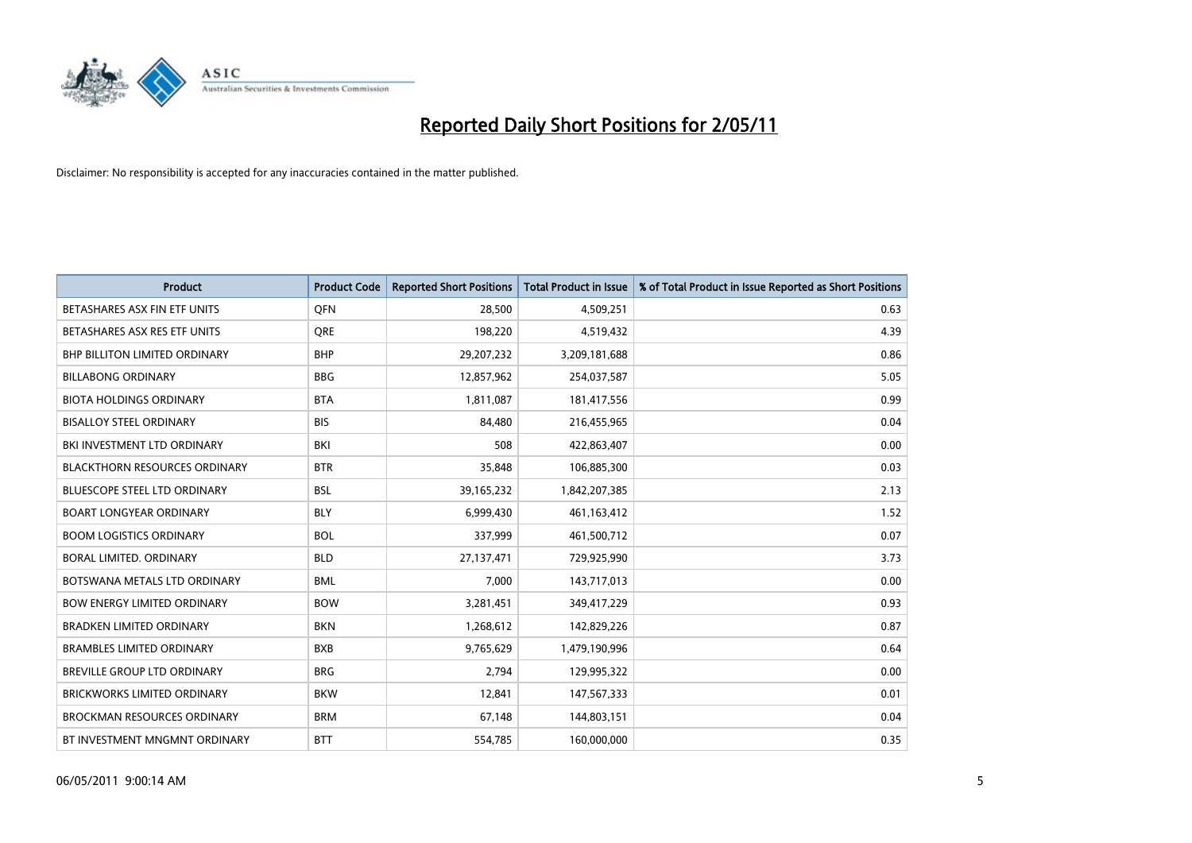

| <b>Product</b>                       | <b>Product Code</b> | <b>Reported Short Positions</b> | <b>Total Product in Issue</b> | % of Total Product in Issue Reported as Short Positions |
|--------------------------------------|---------------------|---------------------------------|-------------------------------|---------------------------------------------------------|
| BETASHARES ASX FIN ETF UNITS         | <b>OFN</b>          | 28,500                          | 4,509,251                     | 0.63                                                    |
| BETASHARES ASX RES ETF UNITS         | <b>ORE</b>          | 198,220                         | 4,519,432                     | 4.39                                                    |
| <b>BHP BILLITON LIMITED ORDINARY</b> | <b>BHP</b>          | 29,207,232                      | 3,209,181,688                 | 0.86                                                    |
| <b>BILLABONG ORDINARY</b>            | <b>BBG</b>          | 12,857,962                      | 254,037,587                   | 5.05                                                    |
| <b>BIOTA HOLDINGS ORDINARY</b>       | <b>BTA</b>          | 1,811,087                       | 181,417,556                   | 0.99                                                    |
| <b>BISALLOY STEEL ORDINARY</b>       | <b>BIS</b>          | 84.480                          | 216,455,965                   | 0.04                                                    |
| BKI INVESTMENT LTD ORDINARY          | <b>BKI</b>          | 508                             | 422,863,407                   | 0.00                                                    |
| <b>BLACKTHORN RESOURCES ORDINARY</b> | <b>BTR</b>          | 35,848                          | 106,885,300                   | 0.03                                                    |
| <b>BLUESCOPE STEEL LTD ORDINARY</b>  | <b>BSL</b>          | 39,165,232                      | 1,842,207,385                 | 2.13                                                    |
| <b>BOART LONGYEAR ORDINARY</b>       | <b>BLY</b>          | 6,999,430                       | 461, 163, 412                 | 1.52                                                    |
| <b>BOOM LOGISTICS ORDINARY</b>       | <b>BOL</b>          | 337,999                         | 461,500,712                   | 0.07                                                    |
| BORAL LIMITED, ORDINARY              | <b>BLD</b>          | 27,137,471                      | 729,925,990                   | 3.73                                                    |
| BOTSWANA METALS LTD ORDINARY         | <b>BML</b>          | 7,000                           | 143,717,013                   | 0.00                                                    |
| <b>BOW ENERGY LIMITED ORDINARY</b>   | <b>BOW</b>          | 3,281,451                       | 349,417,229                   | 0.93                                                    |
| <b>BRADKEN LIMITED ORDINARY</b>      | <b>BKN</b>          | 1,268,612                       | 142,829,226                   | 0.87                                                    |
| <b>BRAMBLES LIMITED ORDINARY</b>     | <b>BXB</b>          | 9,765,629                       | 1,479,190,996                 | 0.64                                                    |
| BREVILLE GROUP LTD ORDINARY          | <b>BRG</b>          | 2,794                           | 129,995,322                   | 0.00                                                    |
| <b>BRICKWORKS LIMITED ORDINARY</b>   | <b>BKW</b>          | 12,841                          | 147,567,333                   | 0.01                                                    |
| <b>BROCKMAN RESOURCES ORDINARY</b>   | <b>BRM</b>          | 67,148                          | 144,803,151                   | 0.04                                                    |
| BT INVESTMENT MNGMNT ORDINARY        | <b>BTT</b>          | 554,785                         | 160,000,000                   | 0.35                                                    |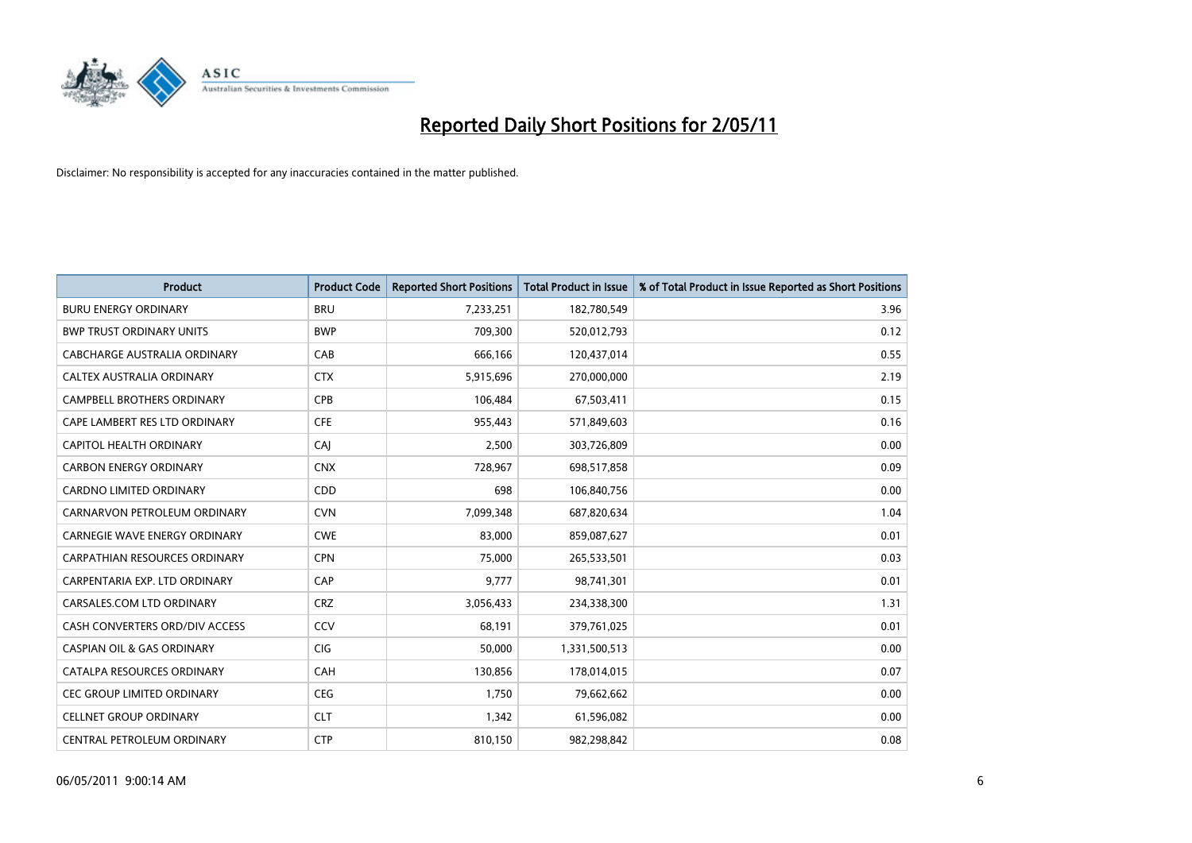

| <b>Product</b>                        | <b>Product Code</b> | <b>Reported Short Positions</b> | <b>Total Product in Issue</b> | % of Total Product in Issue Reported as Short Positions |
|---------------------------------------|---------------------|---------------------------------|-------------------------------|---------------------------------------------------------|
| <b>BURU ENERGY ORDINARY</b>           | <b>BRU</b>          | 7,233,251                       | 182,780,549                   | 3.96                                                    |
| <b>BWP TRUST ORDINARY UNITS</b>       | <b>BWP</b>          | 709,300                         | 520,012,793                   | 0.12                                                    |
| CABCHARGE AUSTRALIA ORDINARY          | CAB                 | 666,166                         | 120,437,014                   | 0.55                                                    |
| CALTEX AUSTRALIA ORDINARY             | <b>CTX</b>          | 5,915,696                       | 270,000,000                   | 2.19                                                    |
| <b>CAMPBELL BROTHERS ORDINARY</b>     | CPB                 | 106,484                         | 67,503,411                    | 0.15                                                    |
| CAPE LAMBERT RES LTD ORDINARY         | <b>CFE</b>          | 955,443                         | 571,849,603                   | 0.16                                                    |
| CAPITOL HEALTH ORDINARY               | CAJ                 | 2.500                           | 303,726,809                   | 0.00                                                    |
| <b>CARBON ENERGY ORDINARY</b>         | <b>CNX</b>          | 728,967                         | 698,517,858                   | 0.09                                                    |
| CARDNO LIMITED ORDINARY               | CDD                 | 698                             | 106,840,756                   | 0.00                                                    |
| CARNARVON PETROLEUM ORDINARY          | <b>CVN</b>          | 7,099,348                       | 687,820,634                   | 1.04                                                    |
| CARNEGIE WAVE ENERGY ORDINARY         | <b>CWE</b>          | 83,000                          | 859,087,627                   | 0.01                                                    |
| <b>CARPATHIAN RESOURCES ORDINARY</b>  | <b>CPN</b>          | 75,000                          | 265,533,501                   | 0.03                                                    |
| CARPENTARIA EXP. LTD ORDINARY         | CAP                 | 9,777                           | 98,741,301                    | 0.01                                                    |
| CARSALES.COM LTD ORDINARY             | <b>CRZ</b>          | 3,056,433                       | 234,338,300                   | 1.31                                                    |
| CASH CONVERTERS ORD/DIV ACCESS        | CCV                 | 68,191                          | 379,761,025                   | 0.01                                                    |
| <b>CASPIAN OIL &amp; GAS ORDINARY</b> | CIG                 | 50,000                          | 1,331,500,513                 | 0.00                                                    |
| CATALPA RESOURCES ORDINARY            | <b>CAH</b>          | 130,856                         | 178,014,015                   | 0.07                                                    |
| <b>CEC GROUP LIMITED ORDINARY</b>     | <b>CEG</b>          | 1,750                           | 79,662,662                    | 0.00                                                    |
| <b>CELLNET GROUP ORDINARY</b>         | <b>CLT</b>          | 1,342                           | 61,596,082                    | 0.00                                                    |
| CENTRAL PETROLEUM ORDINARY            | <b>CTP</b>          | 810,150                         | 982,298,842                   | 0.08                                                    |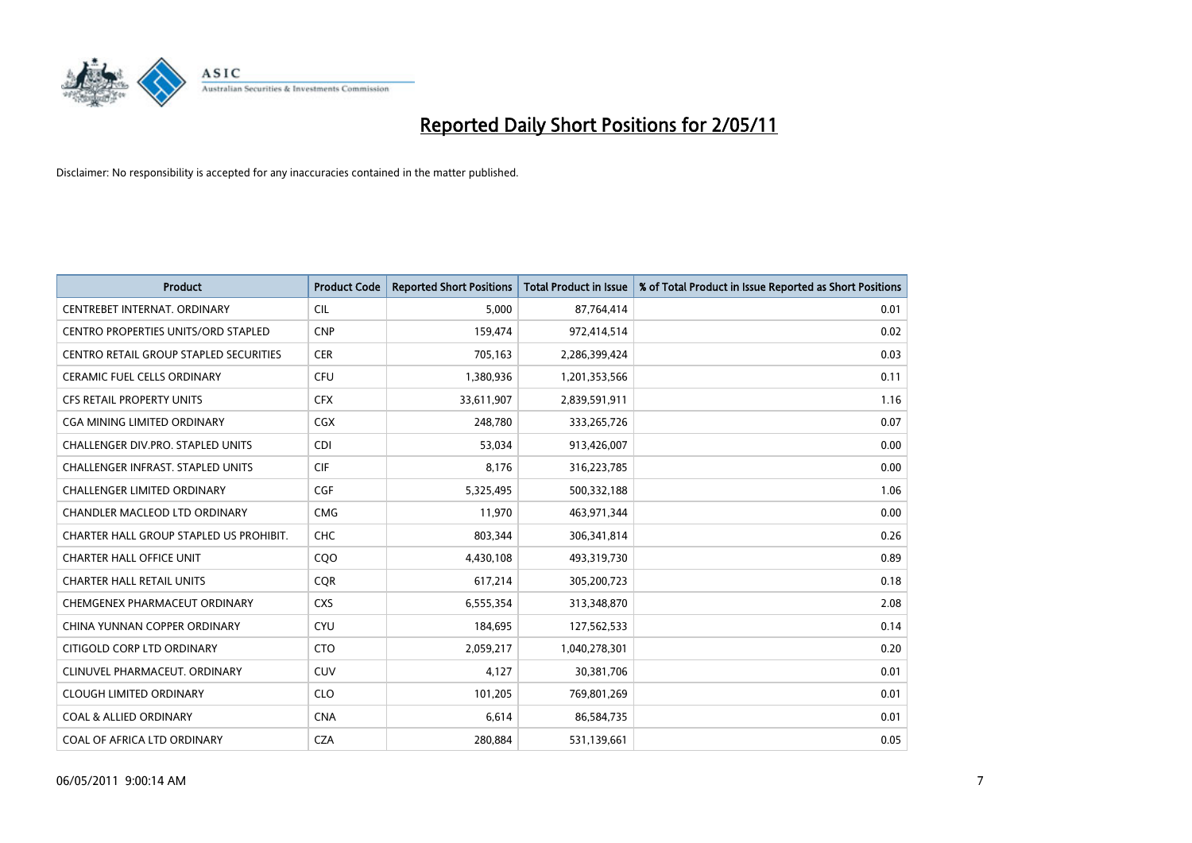

| <b>Product</b>                                | <b>Product Code</b> | <b>Reported Short Positions</b> | Total Product in Issue | % of Total Product in Issue Reported as Short Positions |
|-----------------------------------------------|---------------------|---------------------------------|------------------------|---------------------------------------------------------|
| CENTREBET INTERNAT, ORDINARY                  | <b>CIL</b>          | 5,000                           | 87,764,414             | 0.01                                                    |
| <b>CENTRO PROPERTIES UNITS/ORD STAPLED</b>    | <b>CNP</b>          | 159,474                         | 972,414,514            | 0.02                                                    |
| <b>CENTRO RETAIL GROUP STAPLED SECURITIES</b> | <b>CER</b>          | 705,163                         | 2,286,399,424          | 0.03                                                    |
| CERAMIC FUEL CELLS ORDINARY                   | <b>CFU</b>          | 1,380,936                       | 1,201,353,566          | 0.11                                                    |
| <b>CFS RETAIL PROPERTY UNITS</b>              | <b>CFX</b>          | 33,611,907                      | 2,839,591,911          | 1.16                                                    |
| CGA MINING LIMITED ORDINARY                   | <b>CGX</b>          | 248,780                         | 333,265,726            | 0.07                                                    |
| <b>CHALLENGER DIV.PRO. STAPLED UNITS</b>      | <b>CDI</b>          | 53.034                          | 913,426,007            | 0.00                                                    |
| CHALLENGER INFRAST. STAPLED UNITS             | <b>CIF</b>          | 8,176                           | 316,223,785            | 0.00                                                    |
| CHALLENGER LIMITED ORDINARY                   | <b>CGF</b>          | 5,325,495                       | 500,332,188            | 1.06                                                    |
| CHANDLER MACLEOD LTD ORDINARY                 | <b>CMG</b>          | 11.970                          | 463,971,344            | 0.00                                                    |
| CHARTER HALL GROUP STAPLED US PROHIBIT.       | <b>CHC</b>          | 803,344                         | 306,341,814            | 0.26                                                    |
| <b>CHARTER HALL OFFICE UNIT</b>               | CQO                 | 4,430,108                       | 493,319,730            | 0.89                                                    |
| <b>CHARTER HALL RETAIL UNITS</b>              | <b>COR</b>          | 617,214                         | 305,200,723            | 0.18                                                    |
| CHEMGENEX PHARMACEUT ORDINARY                 | <b>CXS</b>          | 6,555,354                       | 313,348,870            | 2.08                                                    |
| CHINA YUNNAN COPPER ORDINARY                  | <b>CYU</b>          | 184,695                         | 127,562,533            | 0.14                                                    |
| CITIGOLD CORP LTD ORDINARY                    | <b>CTO</b>          | 2,059,217                       | 1,040,278,301          | 0.20                                                    |
| CLINUVEL PHARMACEUT, ORDINARY                 | CUV                 | 4,127                           | 30,381,706             | 0.01                                                    |
| <b>CLOUGH LIMITED ORDINARY</b>                | <b>CLO</b>          | 101,205                         | 769,801,269            | 0.01                                                    |
| <b>COAL &amp; ALLIED ORDINARY</b>             | <b>CNA</b>          | 6,614                           | 86,584,735             | 0.01                                                    |
| COAL OF AFRICA LTD ORDINARY                   | <b>CZA</b>          | 280.884                         | 531,139,661            | 0.05                                                    |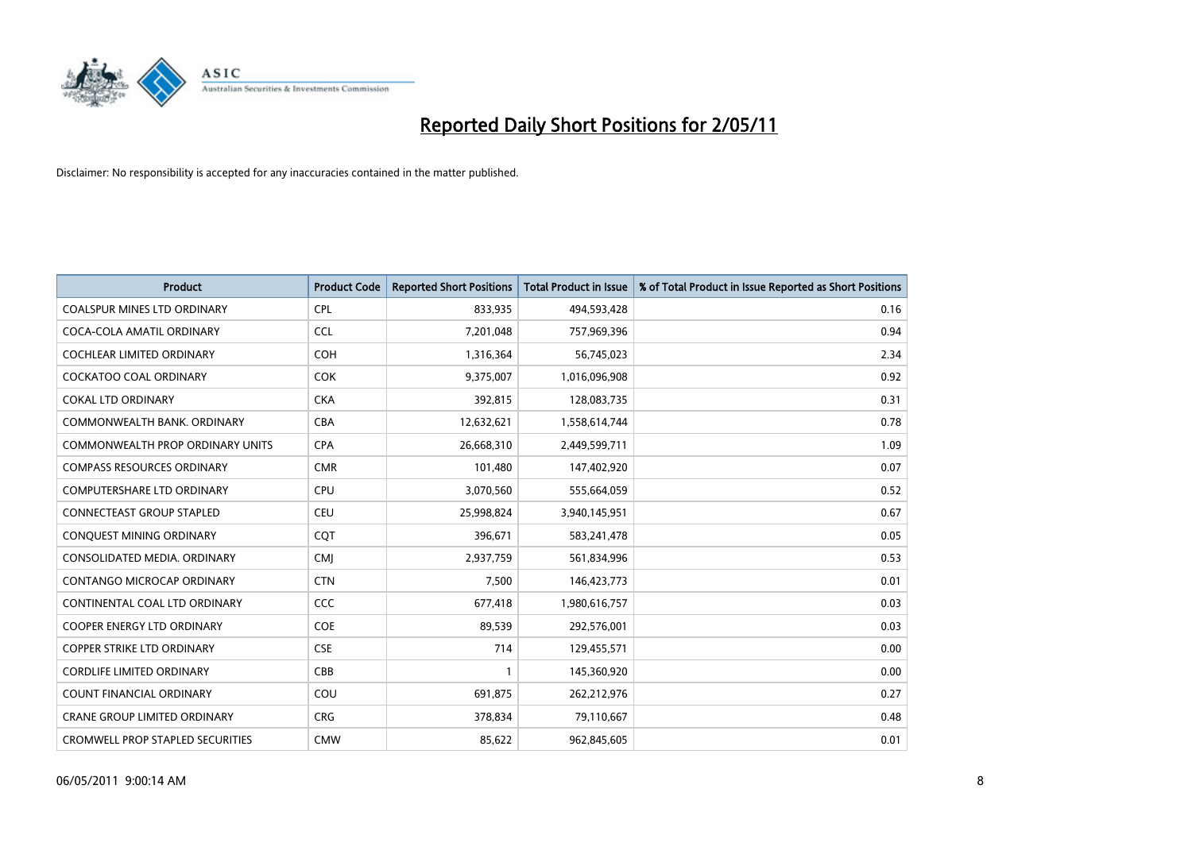

| <b>Product</b>                          | <b>Product Code</b> | <b>Reported Short Positions</b> | Total Product in Issue | % of Total Product in Issue Reported as Short Positions |
|-----------------------------------------|---------------------|---------------------------------|------------------------|---------------------------------------------------------|
| <b>COALSPUR MINES LTD ORDINARY</b>      | <b>CPL</b>          | 833,935                         | 494,593,428            | 0.16                                                    |
| COCA-COLA AMATIL ORDINARY               | <b>CCL</b>          | 7,201,048                       | 757,969,396            | 0.94                                                    |
| <b>COCHLEAR LIMITED ORDINARY</b>        | <b>COH</b>          | 1,316,364                       | 56,745,023             | 2.34                                                    |
| COCKATOO COAL ORDINARY                  | <b>COK</b>          | 9,375,007                       | 1,016,096,908          | 0.92                                                    |
| <b>COKAL LTD ORDINARY</b>               | <b>CKA</b>          | 392,815                         | 128,083,735            | 0.31                                                    |
| COMMONWEALTH BANK, ORDINARY             | <b>CBA</b>          | 12,632,621                      | 1,558,614,744          | 0.78                                                    |
| <b>COMMONWEALTH PROP ORDINARY UNITS</b> | <b>CPA</b>          | 26,668,310                      | 2,449,599,711          | 1.09                                                    |
| <b>COMPASS RESOURCES ORDINARY</b>       | <b>CMR</b>          | 101,480                         | 147,402,920            | 0.07                                                    |
| COMPUTERSHARE LTD ORDINARY              | <b>CPU</b>          | 3,070,560                       | 555,664,059            | 0.52                                                    |
| <b>CONNECTEAST GROUP STAPLED</b>        | <b>CEU</b>          | 25,998,824                      | 3,940,145,951          | 0.67                                                    |
| CONQUEST MINING ORDINARY                | CQT                 | 396,671                         | 583,241,478            | 0.05                                                    |
| CONSOLIDATED MEDIA, ORDINARY            | <b>CMI</b>          | 2,937,759                       | 561,834,996            | 0.53                                                    |
| CONTANGO MICROCAP ORDINARY              | <b>CTN</b>          | 7,500                           | 146,423,773            | 0.01                                                    |
| CONTINENTAL COAL LTD ORDINARY           | CCC                 | 677,418                         | 1,980,616,757          | 0.03                                                    |
| <b>COOPER ENERGY LTD ORDINARY</b>       | <b>COE</b>          | 89,539                          | 292,576,001            | 0.03                                                    |
| COPPER STRIKE LTD ORDINARY              | <b>CSE</b>          | 714                             | 129,455,571            | 0.00                                                    |
| <b>CORDLIFE LIMITED ORDINARY</b>        | CBB                 |                                 | 145,360,920            | 0.00                                                    |
| COUNT FINANCIAL ORDINARY                | COU                 | 691,875                         | 262,212,976            | 0.27                                                    |
| <b>CRANE GROUP LIMITED ORDINARY</b>     | <b>CRG</b>          | 378,834                         | 79,110,667             | 0.48                                                    |
| <b>CROMWELL PROP STAPLED SECURITIES</b> | <b>CMW</b>          | 85,622                          | 962,845,605            | 0.01                                                    |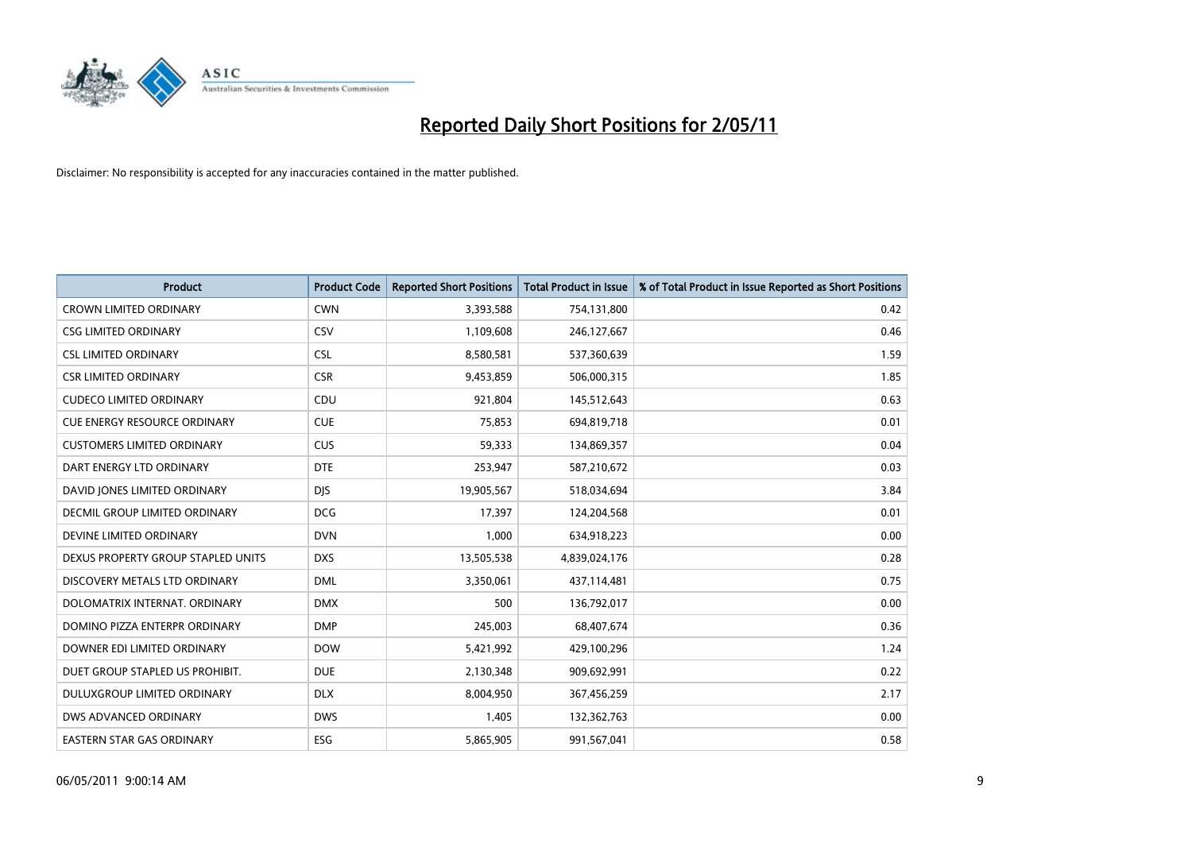

| <b>Product</b>                      | <b>Product Code</b> | <b>Reported Short Positions</b> | Total Product in Issue | % of Total Product in Issue Reported as Short Positions |
|-------------------------------------|---------------------|---------------------------------|------------------------|---------------------------------------------------------|
| <b>CROWN LIMITED ORDINARY</b>       | <b>CWN</b>          | 3,393,588                       | 754,131,800            | 0.42                                                    |
| <b>CSG LIMITED ORDINARY</b>         | CSV                 | 1,109,608                       | 246,127,667            | 0.46                                                    |
| <b>CSL LIMITED ORDINARY</b>         | <b>CSL</b>          | 8,580,581                       | 537,360,639            | 1.59                                                    |
| <b>CSR LIMITED ORDINARY</b>         | <b>CSR</b>          | 9,453,859                       | 506,000,315            | 1.85                                                    |
| <b>CUDECO LIMITED ORDINARY</b>      | CDU                 | 921,804                         | 145,512,643            | 0.63                                                    |
| <b>CUE ENERGY RESOURCE ORDINARY</b> | <b>CUE</b>          | 75,853                          | 694,819,718            | 0.01                                                    |
| <b>CUSTOMERS LIMITED ORDINARY</b>   | CUS                 | 59,333                          | 134,869,357            | 0.04                                                    |
| DART ENERGY LTD ORDINARY            | <b>DTE</b>          | 253,947                         | 587,210,672            | 0.03                                                    |
| DAVID JONES LIMITED ORDINARY        | <b>DIS</b>          | 19,905,567                      | 518,034,694            | 3.84                                                    |
| DECMIL GROUP LIMITED ORDINARY       | <b>DCG</b>          | 17,397                          | 124,204,568            | 0.01                                                    |
| DEVINE LIMITED ORDINARY             | <b>DVN</b>          | 1,000                           | 634,918,223            | 0.00                                                    |
| DEXUS PROPERTY GROUP STAPLED UNITS  | <b>DXS</b>          | 13,505,538                      | 4,839,024,176          | 0.28                                                    |
| DISCOVERY METALS LTD ORDINARY       | <b>DML</b>          | 3,350,061                       | 437,114,481            | 0.75                                                    |
| DOLOMATRIX INTERNAT, ORDINARY       | <b>DMX</b>          | 500                             | 136,792,017            | 0.00                                                    |
| DOMINO PIZZA ENTERPR ORDINARY       | <b>DMP</b>          | 245,003                         | 68,407,674             | 0.36                                                    |
| DOWNER EDI LIMITED ORDINARY         | <b>DOW</b>          | 5,421,992                       | 429,100,296            | 1.24                                                    |
| DUET GROUP STAPLED US PROHIBIT.     | <b>DUE</b>          | 2,130,348                       | 909,692,991            | 0.22                                                    |
| DULUXGROUP LIMITED ORDINARY         | <b>DLX</b>          | 8,004,950                       | 367,456,259            | 2.17                                                    |
| DWS ADVANCED ORDINARY               | <b>DWS</b>          | 1,405                           | 132,362,763            | 0.00                                                    |
| EASTERN STAR GAS ORDINARY           | ESG                 | 5,865,905                       | 991,567,041            | 0.58                                                    |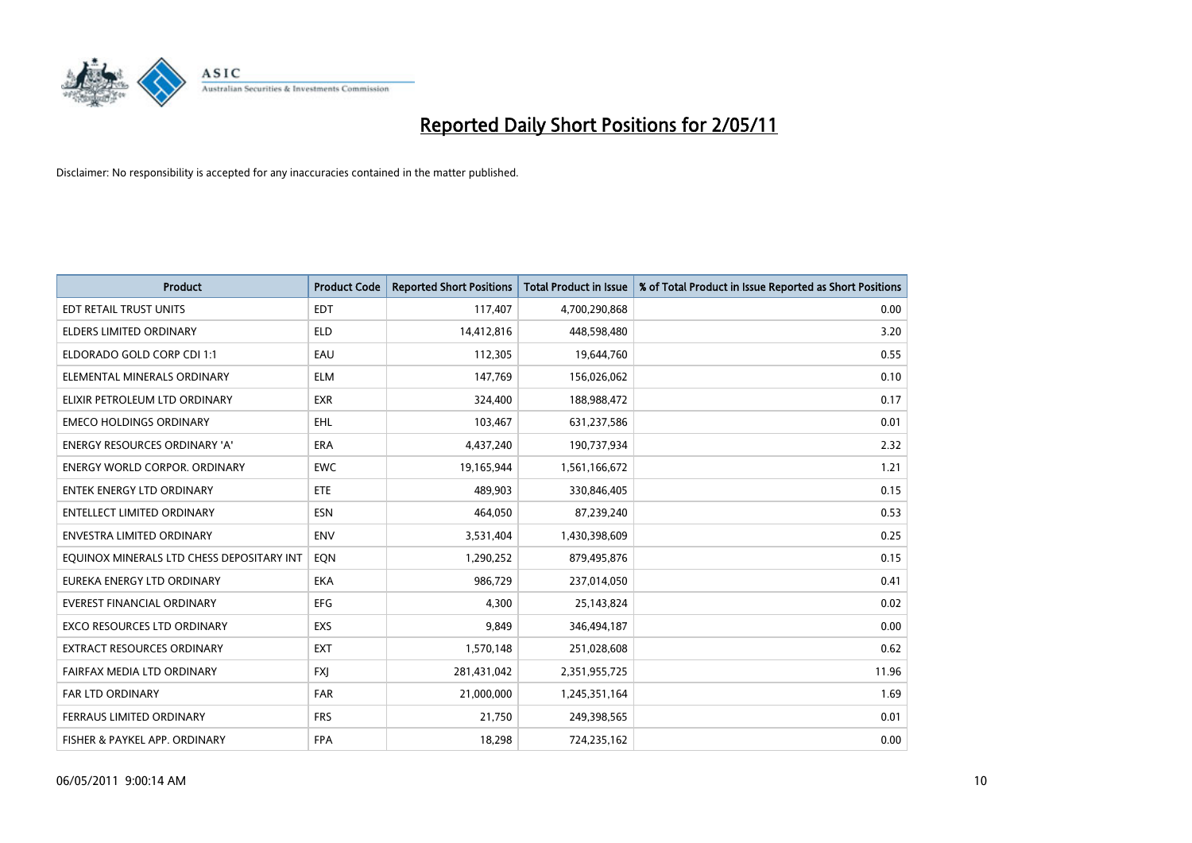

| <b>Product</b>                            | <b>Product Code</b> | <b>Reported Short Positions</b> | Total Product in Issue | % of Total Product in Issue Reported as Short Positions |
|-------------------------------------------|---------------------|---------------------------------|------------------------|---------------------------------------------------------|
| <b>EDT RETAIL TRUST UNITS</b>             | <b>EDT</b>          | 117,407                         | 4,700,290,868          | 0.00                                                    |
| ELDERS LIMITED ORDINARY                   | <b>ELD</b>          | 14,412,816                      | 448,598,480            | 3.20                                                    |
| ELDORADO GOLD CORP CDI 1:1                | EAU                 | 112,305                         | 19,644,760             | 0.55                                                    |
| ELEMENTAL MINERALS ORDINARY               | <b>ELM</b>          | 147,769                         | 156,026,062            | 0.10                                                    |
| ELIXIR PETROLEUM LTD ORDINARY             | <b>EXR</b>          | 324,400                         | 188,988,472            | 0.17                                                    |
| <b>EMECO HOLDINGS ORDINARY</b>            | <b>EHL</b>          | 103,467                         | 631,237,586            | 0.01                                                    |
| <b>ENERGY RESOURCES ORDINARY 'A'</b>      | <b>ERA</b>          | 4,437,240                       | 190,737,934            | 2.32                                                    |
| <b>ENERGY WORLD CORPOR, ORDINARY</b>      | <b>EWC</b>          | 19,165,944                      | 1,561,166,672          | 1.21                                                    |
| ENTEK ENERGY LTD ORDINARY                 | <b>ETE</b>          | 489,903                         | 330,846,405            | 0.15                                                    |
| <b>ENTELLECT LIMITED ORDINARY</b>         | <b>ESN</b>          | 464,050                         | 87,239,240             | 0.53                                                    |
| ENVESTRA LIMITED ORDINARY                 | <b>ENV</b>          | 3,531,404                       | 1,430,398,609          | 0.25                                                    |
| EQUINOX MINERALS LTD CHESS DEPOSITARY INT | EON                 | 1,290,252                       | 879,495,876            | 0.15                                                    |
| EUREKA ENERGY LTD ORDINARY                | <b>EKA</b>          | 986,729                         | 237,014,050            | 0.41                                                    |
| <b>EVEREST FINANCIAL ORDINARY</b>         | <b>EFG</b>          | 4,300                           | 25,143,824             | 0.02                                                    |
| <b>EXCO RESOURCES LTD ORDINARY</b>        | EXS                 | 9.849                           | 346,494,187            | 0.00                                                    |
| EXTRACT RESOURCES ORDINARY                | <b>EXT</b>          | 1,570,148                       | 251,028,608            | 0.62                                                    |
| FAIRFAX MEDIA LTD ORDINARY                | <b>FXI</b>          | 281,431,042                     | 2,351,955,725          | 11.96                                                   |
| <b>FAR LTD ORDINARY</b>                   | <b>FAR</b>          | 21,000,000                      | 1,245,351,164          | 1.69                                                    |
| FERRAUS LIMITED ORDINARY                  | <b>FRS</b>          | 21,750                          | 249,398,565            | 0.01                                                    |
| FISHER & PAYKEL APP. ORDINARY             | <b>FPA</b>          | 18,298                          | 724,235,162            | 0.00                                                    |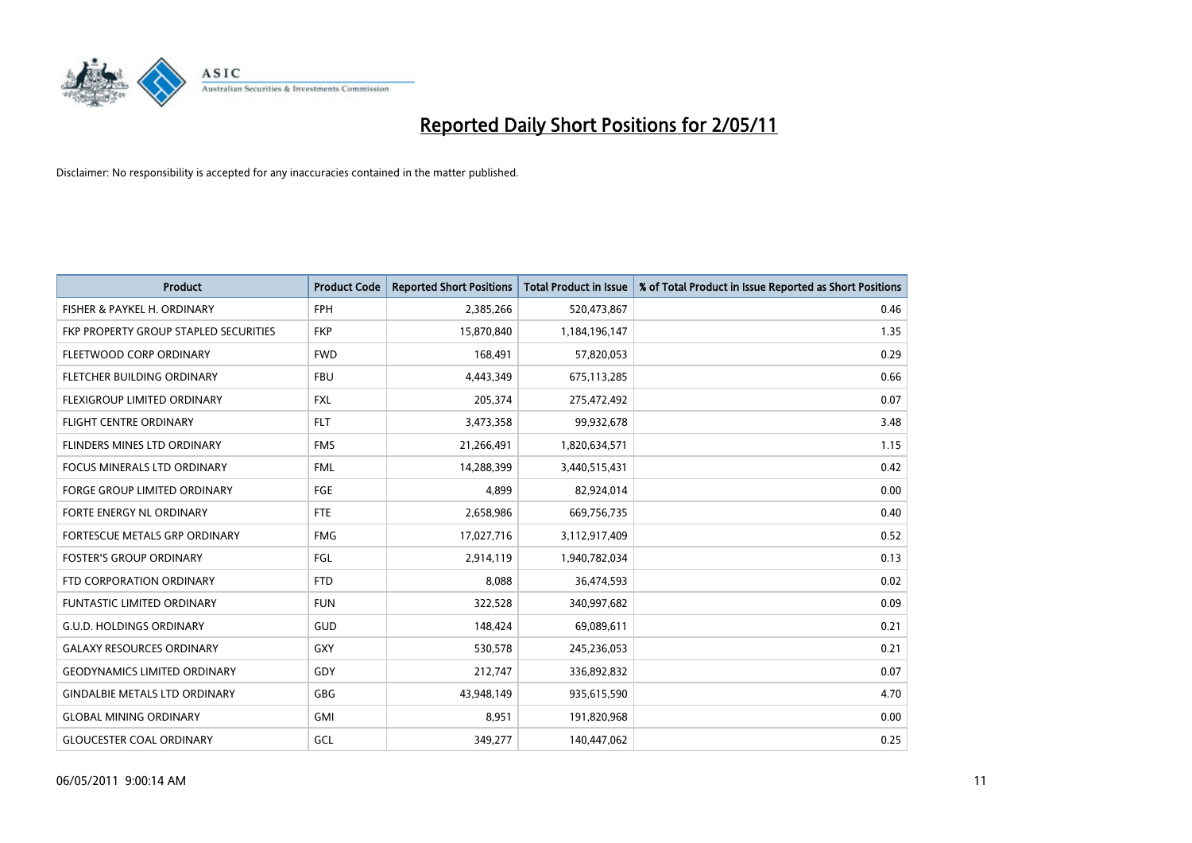

| <b>Product</b>                        | <b>Product Code</b> | <b>Reported Short Positions</b> | Total Product in Issue | % of Total Product in Issue Reported as Short Positions |
|---------------------------------------|---------------------|---------------------------------|------------------------|---------------------------------------------------------|
| FISHER & PAYKEL H. ORDINARY           | <b>FPH</b>          | 2,385,266                       | 520,473,867            | 0.46                                                    |
| FKP PROPERTY GROUP STAPLED SECURITIES | <b>FKP</b>          | 15,870,840                      | 1,184,196,147          | 1.35                                                    |
| FLEETWOOD CORP ORDINARY               | <b>FWD</b>          | 168,491                         | 57,820,053             | 0.29                                                    |
| FLETCHER BUILDING ORDINARY            | <b>FBU</b>          | 4,443,349                       | 675,113,285            | 0.66                                                    |
| FLEXIGROUP LIMITED ORDINARY           | <b>FXL</b>          | 205,374                         | 275,472,492            | 0.07                                                    |
| <b>FLIGHT CENTRE ORDINARY</b>         | <b>FLT</b>          | 3,473,358                       | 99,932,678             | 3.48                                                    |
| FLINDERS MINES LTD ORDINARY           | <b>FMS</b>          | 21,266,491                      | 1,820,634,571          | 1.15                                                    |
| <b>FOCUS MINERALS LTD ORDINARY</b>    | <b>FML</b>          | 14,288,399                      | 3,440,515,431          | 0.42                                                    |
| FORGE GROUP LIMITED ORDINARY          | FGE                 | 4,899                           | 82,924,014             | 0.00                                                    |
| FORTE ENERGY NL ORDINARY              | <b>FTE</b>          | 2,658,986                       | 669,756,735            | 0.40                                                    |
| FORTESCUE METALS GRP ORDINARY         | <b>FMG</b>          | 17,027,716                      | 3,112,917,409          | 0.52                                                    |
| <b>FOSTER'S GROUP ORDINARY</b>        | FGL                 | 2,914,119                       | 1,940,782,034          | 0.13                                                    |
| FTD CORPORATION ORDINARY              | <b>FTD</b>          | 8,088                           | 36,474,593             | 0.02                                                    |
| <b>FUNTASTIC LIMITED ORDINARY</b>     | <b>FUN</b>          | 322,528                         | 340,997,682            | 0.09                                                    |
| <b>G.U.D. HOLDINGS ORDINARY</b>       | <b>GUD</b>          | 148,424                         | 69,089,611             | 0.21                                                    |
| <b>GALAXY RESOURCES ORDINARY</b>      | GXY                 | 530,578                         | 245,236,053            | 0.21                                                    |
| <b>GEODYNAMICS LIMITED ORDINARY</b>   | GDY                 | 212,747                         | 336,892,832            | 0.07                                                    |
| <b>GINDALBIE METALS LTD ORDINARY</b>  | <b>GBG</b>          | 43,948,149                      | 935,615,590            | 4.70                                                    |
| <b>GLOBAL MINING ORDINARY</b>         | <b>GMI</b>          | 8,951                           | 191,820,968            | 0.00                                                    |
| <b>GLOUCESTER COAL ORDINARY</b>       | GCL                 | 349.277                         | 140,447,062            | 0.25                                                    |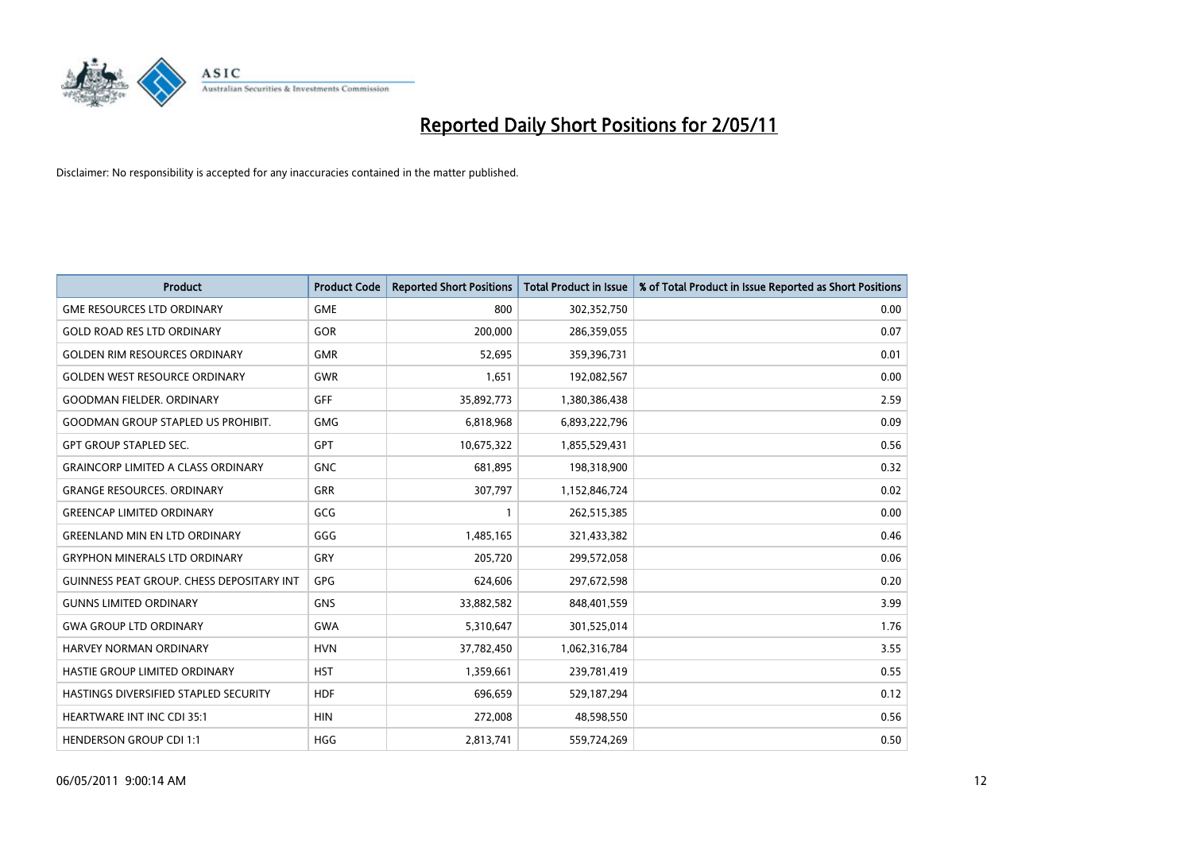

| <b>Product</b>                                   | <b>Product Code</b> | <b>Reported Short Positions</b> | Total Product in Issue | % of Total Product in Issue Reported as Short Positions |
|--------------------------------------------------|---------------------|---------------------------------|------------------------|---------------------------------------------------------|
| <b>GME RESOURCES LTD ORDINARY</b>                | <b>GME</b>          | 800                             | 302,352,750            | 0.00                                                    |
| <b>GOLD ROAD RES LTD ORDINARY</b>                | GOR                 | 200,000                         | 286,359,055            | 0.07                                                    |
| <b>GOLDEN RIM RESOURCES ORDINARY</b>             | <b>GMR</b>          | 52,695                          | 359,396,731            | 0.01                                                    |
| <b>GOLDEN WEST RESOURCE ORDINARY</b>             | <b>GWR</b>          | 1,651                           | 192,082,567            | 0.00                                                    |
| <b>GOODMAN FIELDER, ORDINARY</b>                 | <b>GFF</b>          | 35,892,773                      | 1,380,386,438          | 2.59                                                    |
| <b>GOODMAN GROUP STAPLED US PROHIBIT.</b>        | <b>GMG</b>          | 6,818,968                       | 6,893,222,796          | 0.09                                                    |
| <b>GPT GROUP STAPLED SEC.</b>                    | <b>GPT</b>          | 10,675,322                      | 1,855,529,431          | 0.56                                                    |
| <b>GRAINCORP LIMITED A CLASS ORDINARY</b>        | <b>GNC</b>          | 681,895                         | 198,318,900            | 0.32                                                    |
| <b>GRANGE RESOURCES. ORDINARY</b>                | <b>GRR</b>          | 307,797                         | 1,152,846,724          | 0.02                                                    |
| <b>GREENCAP LIMITED ORDINARY</b>                 | GCG                 |                                 | 262,515,385            | 0.00                                                    |
| <b>GREENLAND MIN EN LTD ORDINARY</b>             | GGG                 | 1,485,165                       | 321,433,382            | 0.46                                                    |
| <b>GRYPHON MINERALS LTD ORDINARY</b>             | GRY                 | 205,720                         | 299,572,058            | 0.06                                                    |
| <b>GUINNESS PEAT GROUP. CHESS DEPOSITARY INT</b> | GPG                 | 624,606                         | 297,672,598            | 0.20                                                    |
| <b>GUNNS LIMITED ORDINARY</b>                    | <b>GNS</b>          | 33,882,582                      | 848,401,559            | 3.99                                                    |
| <b>GWA GROUP LTD ORDINARY</b>                    | <b>GWA</b>          | 5,310,647                       | 301,525,014            | 1.76                                                    |
| HARVEY NORMAN ORDINARY                           | <b>HVN</b>          | 37,782,450                      | 1,062,316,784          | 3.55                                                    |
| HASTIE GROUP LIMITED ORDINARY                    | <b>HST</b>          | 1,359,661                       | 239,781,419            | 0.55                                                    |
| HASTINGS DIVERSIFIED STAPLED SECURITY            | <b>HDF</b>          | 696,659                         | 529,187,294            | 0.12                                                    |
| <b>HEARTWARE INT INC CDI 35:1</b>                | <b>HIN</b>          | 272,008                         | 48,598,550             | 0.56                                                    |
| <b>HENDERSON GROUP CDI 1:1</b>                   | <b>HGG</b>          | 2,813,741                       | 559,724,269            | 0.50                                                    |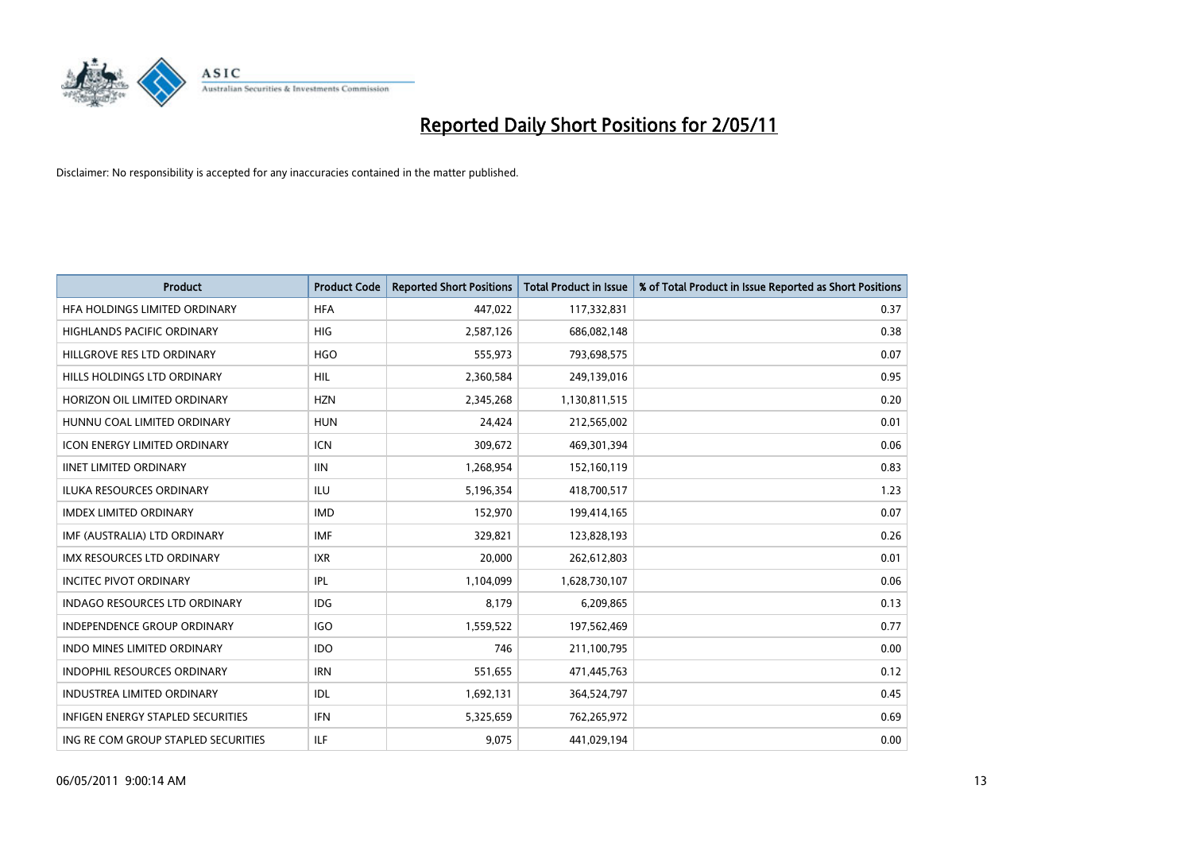

| <b>Product</b>                           | <b>Product Code</b> | <b>Reported Short Positions</b> | <b>Total Product in Issue</b> | % of Total Product in Issue Reported as Short Positions |
|------------------------------------------|---------------------|---------------------------------|-------------------------------|---------------------------------------------------------|
| HFA HOLDINGS LIMITED ORDINARY            | <b>HFA</b>          | 447,022                         | 117,332,831                   | 0.37                                                    |
| <b>HIGHLANDS PACIFIC ORDINARY</b>        | <b>HIG</b>          | 2,587,126                       | 686,082,148                   | 0.38                                                    |
| HILLGROVE RES LTD ORDINARY               | <b>HGO</b>          | 555,973                         | 793,698,575                   | 0.07                                                    |
| HILLS HOLDINGS LTD ORDINARY              | <b>HIL</b>          | 2,360,584                       | 249,139,016                   | 0.95                                                    |
| HORIZON OIL LIMITED ORDINARY             | <b>HZN</b>          | 2,345,268                       | 1,130,811,515                 | 0.20                                                    |
| HUNNU COAL LIMITED ORDINARY              | <b>HUN</b>          | 24,424                          | 212,565,002                   | 0.01                                                    |
| <b>ICON ENERGY LIMITED ORDINARY</b>      | <b>ICN</b>          | 309.672                         | 469,301,394                   | 0.06                                                    |
| <b>IINET LIMITED ORDINARY</b>            | <b>IIN</b>          | 1,268,954                       | 152,160,119                   | 0.83                                                    |
| ILUKA RESOURCES ORDINARY                 | <b>ILU</b>          | 5,196,354                       | 418,700,517                   | 1.23                                                    |
| <b>IMDEX LIMITED ORDINARY</b>            | <b>IMD</b>          | 152,970                         | 199,414,165                   | 0.07                                                    |
| IMF (AUSTRALIA) LTD ORDINARY             | <b>IMF</b>          | 329,821                         | 123,828,193                   | 0.26                                                    |
| <b>IMX RESOURCES LTD ORDINARY</b>        | <b>IXR</b>          | 20,000                          | 262,612,803                   | 0.01                                                    |
| <b>INCITEC PIVOT ORDINARY</b>            | <b>IPL</b>          | 1,104,099                       | 1,628,730,107                 | 0.06                                                    |
| <b>INDAGO RESOURCES LTD ORDINARY</b>     | <b>IDG</b>          | 8,179                           | 6,209,865                     | 0.13                                                    |
| <b>INDEPENDENCE GROUP ORDINARY</b>       | <b>IGO</b>          | 1,559,522                       | 197,562,469                   | 0.77                                                    |
| <b>INDO MINES LIMITED ORDINARY</b>       | <b>IDO</b>          | 746                             | 211,100,795                   | 0.00                                                    |
| <b>INDOPHIL RESOURCES ORDINARY</b>       | <b>IRN</b>          | 551,655                         | 471,445,763                   | 0.12                                                    |
| INDUSTREA LIMITED ORDINARY               | IDL                 | 1,692,131                       | 364,524,797                   | 0.45                                                    |
| <b>INFIGEN ENERGY STAPLED SECURITIES</b> | <b>IFN</b>          | 5,325,659                       | 762,265,972                   | 0.69                                                    |
| ING RE COM GROUP STAPLED SECURITIES      | <b>ILF</b>          | 9.075                           | 441,029,194                   | 0.00                                                    |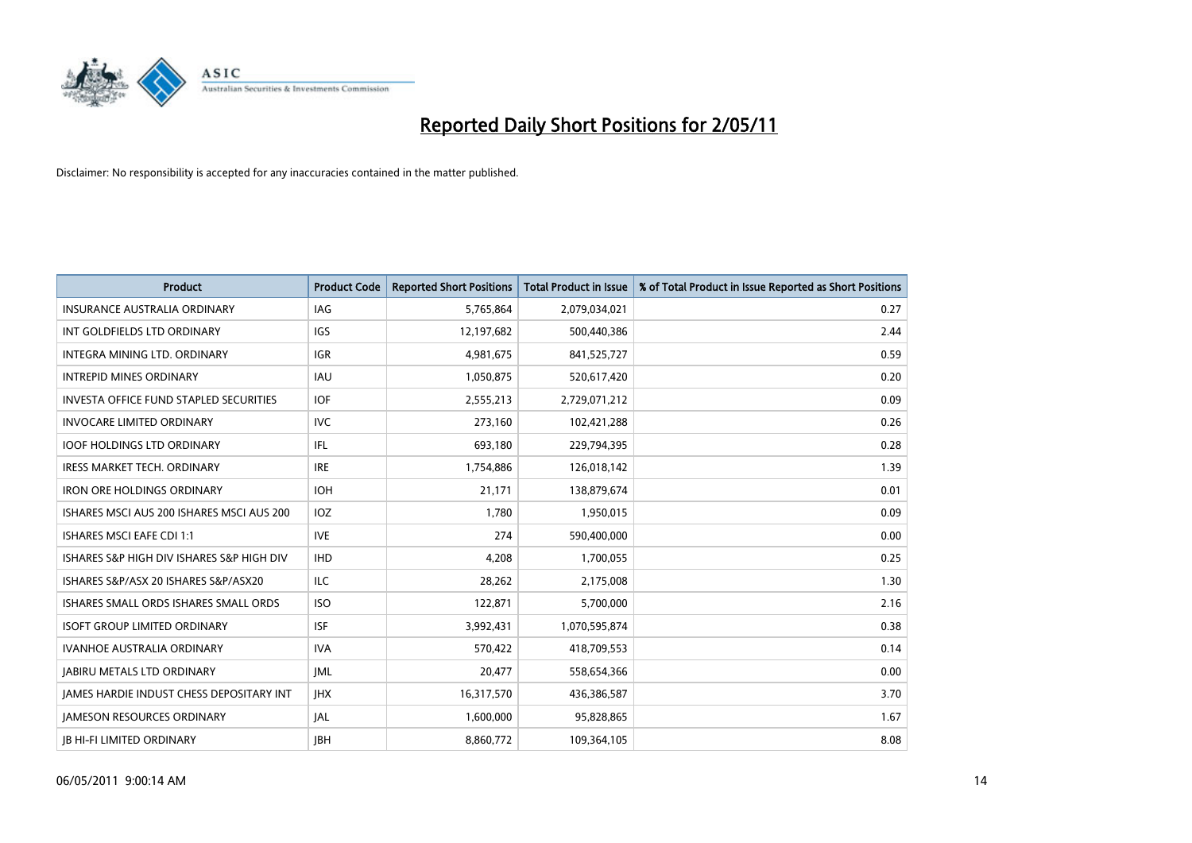

| <b>Product</b>                                  | <b>Product Code</b> | <b>Reported Short Positions</b> | <b>Total Product in Issue</b> | % of Total Product in Issue Reported as Short Positions |
|-------------------------------------------------|---------------------|---------------------------------|-------------------------------|---------------------------------------------------------|
| <b>INSURANCE AUSTRALIA ORDINARY</b>             | <b>IAG</b>          | 5,765,864                       | 2,079,034,021                 | 0.27                                                    |
| INT GOLDFIELDS LTD ORDINARY                     | <b>IGS</b>          | 12,197,682                      | 500,440,386                   | 2.44                                                    |
| INTEGRA MINING LTD. ORDINARY                    | <b>IGR</b>          | 4,981,675                       | 841,525,727                   | 0.59                                                    |
| <b>INTREPID MINES ORDINARY</b>                  | <b>IAU</b>          | 1,050,875                       | 520,617,420                   | 0.20                                                    |
| <b>INVESTA OFFICE FUND STAPLED SECURITIES</b>   | <b>IOF</b>          | 2,555,213                       | 2,729,071,212                 | 0.09                                                    |
| <b>INVOCARE LIMITED ORDINARY</b>                | <b>IVC</b>          | 273,160                         | 102,421,288                   | 0.26                                                    |
| <b>IOOF HOLDINGS LTD ORDINARY</b>               | IFL                 | 693,180                         | 229,794,395                   | 0.28                                                    |
| <b>IRESS MARKET TECH. ORDINARY</b>              | <b>IRE</b>          | 1,754,886                       | 126,018,142                   | 1.39                                                    |
| <b>IRON ORE HOLDINGS ORDINARY</b>               | <b>IOH</b>          | 21,171                          | 138,879,674                   | 0.01                                                    |
| ISHARES MSCI AUS 200 ISHARES MSCI AUS 200       | <b>IOZ</b>          | 1.780                           | 1,950,015                     | 0.09                                                    |
| ISHARES MSCI EAFE CDI 1:1                       | <b>IVE</b>          | 274                             | 590,400,000                   | 0.00                                                    |
| ISHARES S&P HIGH DIV ISHARES S&P HIGH DIV       | <b>IHD</b>          | 4,208                           | 1,700,055                     | 0.25                                                    |
| ISHARES S&P/ASX 20 ISHARES S&P/ASX20            | <b>ILC</b>          | 28,262                          | 2,175,008                     | 1.30                                                    |
| ISHARES SMALL ORDS ISHARES SMALL ORDS           | <b>ISO</b>          | 122,871                         | 5,700,000                     | 2.16                                                    |
| <b>ISOFT GROUP LIMITED ORDINARY</b>             | <b>ISF</b>          | 3,992,431                       | 1,070,595,874                 | 0.38                                                    |
| <b>IVANHOE AUSTRALIA ORDINARY</b>               | <b>IVA</b>          | 570.422                         | 418,709,553                   | 0.14                                                    |
| <b>JABIRU METALS LTD ORDINARY</b>               | <b>JML</b>          | 20,477                          | 558,654,366                   | 0.00                                                    |
| <b>JAMES HARDIE INDUST CHESS DEPOSITARY INT</b> | <b>IHX</b>          | 16,317,570                      | 436,386,587                   | 3.70                                                    |
| <b>IAMESON RESOURCES ORDINARY</b>               | <b>JAL</b>          | 1,600,000                       | 95,828,865                    | 1.67                                                    |
| <b>IB HI-FI LIMITED ORDINARY</b>                | <b>IBH</b>          | 8,860,772                       | 109,364,105                   | 8.08                                                    |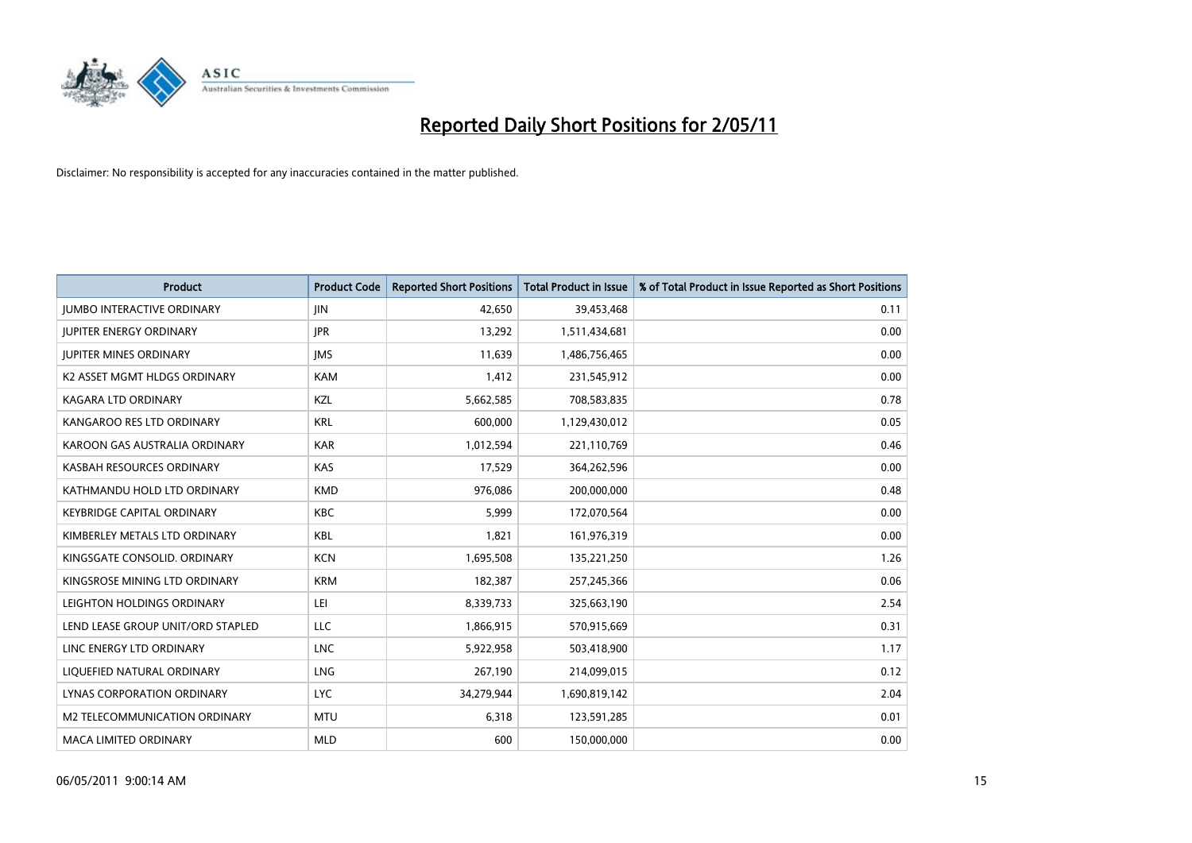

| <b>Product</b>                    | <b>Product Code</b> | <b>Reported Short Positions</b> | Total Product in Issue | % of Total Product in Issue Reported as Short Positions |
|-----------------------------------|---------------------|---------------------------------|------------------------|---------------------------------------------------------|
| <b>JUMBO INTERACTIVE ORDINARY</b> | <b>JIN</b>          | 42,650                          | 39,453,468             | 0.11                                                    |
| <b>JUPITER ENERGY ORDINARY</b>    | <b>JPR</b>          | 13,292                          | 1,511,434,681          | 0.00                                                    |
| <b>JUPITER MINES ORDINARY</b>     | <b>IMS</b>          | 11,639                          | 1,486,756,465          | 0.00                                                    |
| K2 ASSET MGMT HLDGS ORDINARY      | <b>KAM</b>          | 1,412                           | 231,545,912            | 0.00                                                    |
| KAGARA LTD ORDINARY               | KZL                 | 5,662,585                       | 708,583,835            | 0.78                                                    |
| KANGAROO RES LTD ORDINARY         | <b>KRL</b>          | 600,000                         | 1,129,430,012          | 0.05                                                    |
| KAROON GAS AUSTRALIA ORDINARY     | <b>KAR</b>          | 1,012,594                       | 221,110,769            | 0.46                                                    |
| KASBAH RESOURCES ORDINARY         | <b>KAS</b>          | 17,529                          | 364,262,596            | 0.00                                                    |
| KATHMANDU HOLD LTD ORDINARY       | <b>KMD</b>          | 976,086                         | 200,000,000            | 0.48                                                    |
| <b>KEYBRIDGE CAPITAL ORDINARY</b> | <b>KBC</b>          | 5,999                           | 172,070,564            | 0.00                                                    |
| KIMBERLEY METALS LTD ORDINARY     | <b>KBL</b>          | 1,821                           | 161,976,319            | 0.00                                                    |
| KINGSGATE CONSOLID. ORDINARY      | <b>KCN</b>          | 1,695,508                       | 135,221,250            | 1.26                                                    |
| KINGSROSE MINING LTD ORDINARY     | <b>KRM</b>          | 182,387                         | 257,245,366            | 0.06                                                    |
| LEIGHTON HOLDINGS ORDINARY        | LEI                 | 8,339,733                       | 325,663,190            | 2.54                                                    |
| LEND LEASE GROUP UNIT/ORD STAPLED | <b>LLC</b>          | 1,866,915                       | 570,915,669            | 0.31                                                    |
| LINC ENERGY LTD ORDINARY          | <b>LNC</b>          | 5,922,958                       | 503,418,900            | 1.17                                                    |
| LIQUEFIED NATURAL ORDINARY        | LNG                 | 267,190                         | 214,099,015            | 0.12                                                    |
| LYNAS CORPORATION ORDINARY        | <b>LYC</b>          | 34,279,944                      | 1,690,819,142          | 2.04                                                    |
| M2 TELECOMMUNICATION ORDINARY     | <b>MTU</b>          | 6,318                           | 123,591,285            | 0.01                                                    |
| MACA LIMITED ORDINARY             | <b>MLD</b>          | 600                             | 150,000,000            | 0.00                                                    |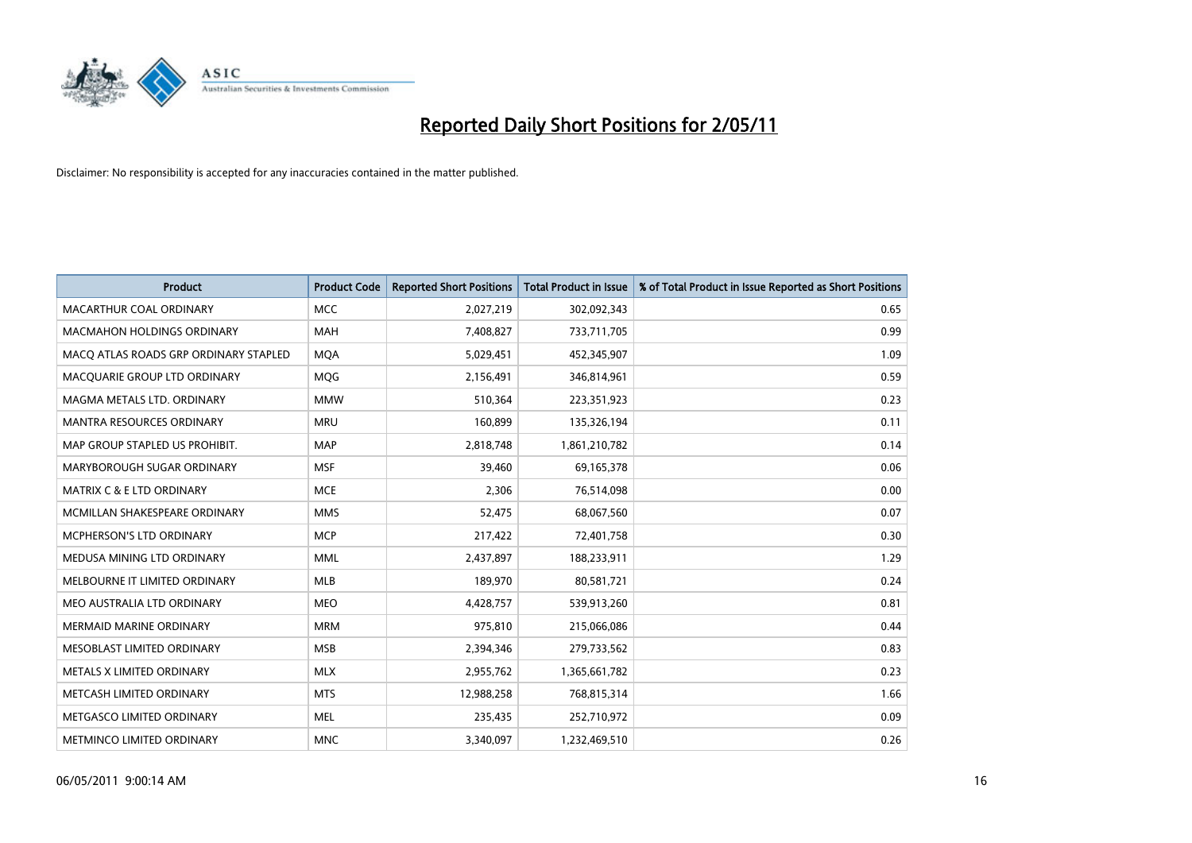

| <b>Product</b>                        | <b>Product Code</b> | <b>Reported Short Positions</b> | Total Product in Issue | % of Total Product in Issue Reported as Short Positions |
|---------------------------------------|---------------------|---------------------------------|------------------------|---------------------------------------------------------|
| MACARTHUR COAL ORDINARY               | <b>MCC</b>          | 2,027,219                       | 302,092,343            | 0.65                                                    |
| <b>MACMAHON HOLDINGS ORDINARY</b>     | <b>MAH</b>          | 7,408,827                       | 733,711,705            | 0.99                                                    |
| MACO ATLAS ROADS GRP ORDINARY STAPLED | <b>MQA</b>          | 5,029,451                       | 452,345,907            | 1.09                                                    |
| MACQUARIE GROUP LTD ORDINARY          | MQG                 | 2,156,491                       | 346,814,961            | 0.59                                                    |
| MAGMA METALS LTD. ORDINARY            | <b>MMW</b>          | 510,364                         | 223,351,923            | 0.23                                                    |
| <b>MANTRA RESOURCES ORDINARY</b>      | <b>MRU</b>          | 160,899                         | 135,326,194            | 0.11                                                    |
| MAP GROUP STAPLED US PROHIBIT.        | <b>MAP</b>          | 2,818,748                       | 1,861,210,782          | 0.14                                                    |
| MARYBOROUGH SUGAR ORDINARY            | <b>MSF</b>          | 39,460                          | 69,165,378             | 0.06                                                    |
| <b>MATRIX C &amp; E LTD ORDINARY</b>  | <b>MCE</b>          | 2,306                           | 76,514,098             | 0.00                                                    |
| MCMILLAN SHAKESPEARE ORDINARY         | <b>MMS</b>          | 52,475                          | 68,067,560             | 0.07                                                    |
| <b>MCPHERSON'S LTD ORDINARY</b>       | <b>MCP</b>          | 217,422                         | 72,401,758             | 0.30                                                    |
| MEDUSA MINING LTD ORDINARY            | <b>MML</b>          | 2,437,897                       | 188,233,911            | 1.29                                                    |
| MELBOURNE IT LIMITED ORDINARY         | MLB                 | 189.970                         | 80,581,721             | 0.24                                                    |
| MEO AUSTRALIA LTD ORDINARY            | <b>MEO</b>          | 4,428,757                       | 539,913,260            | 0.81                                                    |
| MERMAID MARINE ORDINARY               | <b>MRM</b>          | 975,810                         | 215,066,086            | 0.44                                                    |
| MESOBLAST LIMITED ORDINARY            | <b>MSB</b>          | 2,394,346                       | 279,733,562            | 0.83                                                    |
| METALS X LIMITED ORDINARY             | <b>MLX</b>          | 2,955,762                       | 1,365,661,782          | 0.23                                                    |
| METCASH LIMITED ORDINARY              | <b>MTS</b>          | 12,988,258                      | 768,815,314            | 1.66                                                    |
| METGASCO LIMITED ORDINARY             | <b>MEL</b>          | 235,435                         | 252,710,972            | 0.09                                                    |
| <b>METMINCO LIMITED ORDINARY</b>      | <b>MNC</b>          | 3,340,097                       | 1,232,469,510          | 0.26                                                    |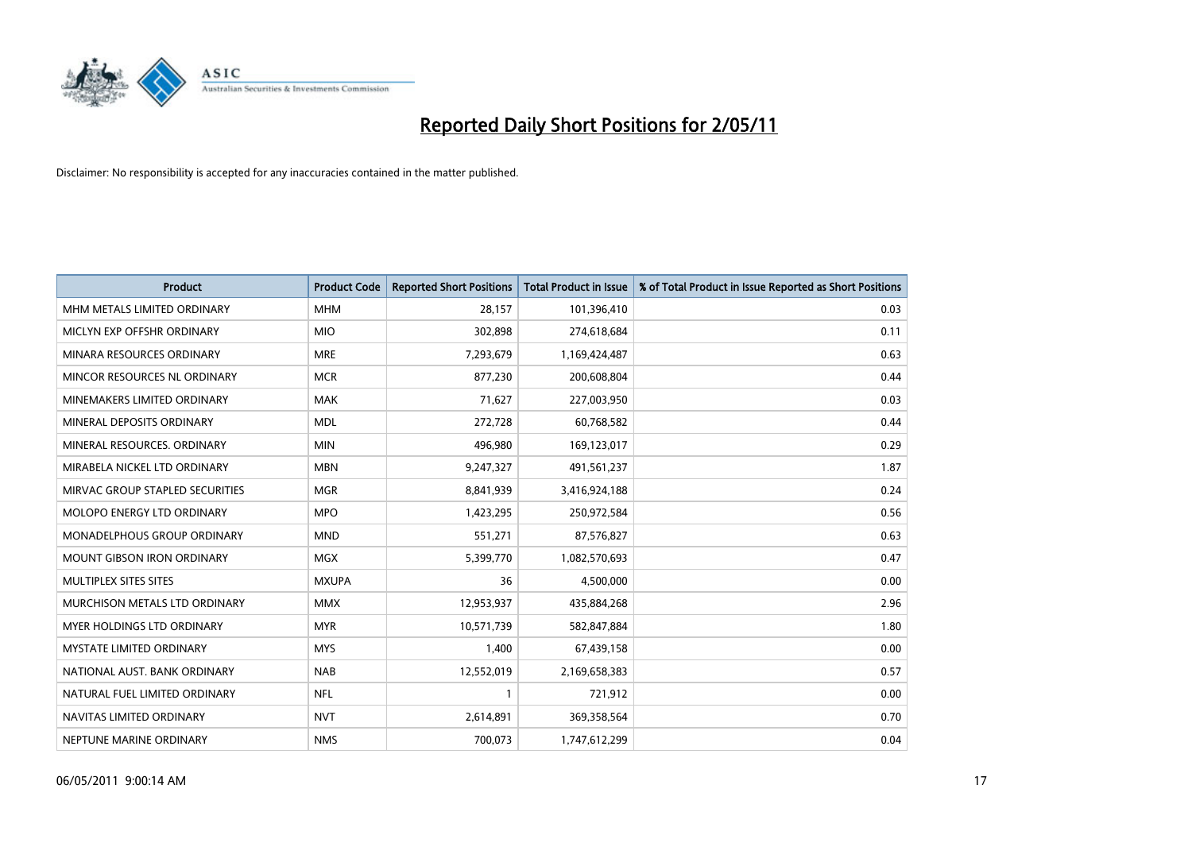

| <b>Product</b>                     | <b>Product Code</b> | <b>Reported Short Positions</b> | Total Product in Issue | % of Total Product in Issue Reported as Short Positions |
|------------------------------------|---------------------|---------------------------------|------------------------|---------------------------------------------------------|
| MHM METALS LIMITED ORDINARY        | <b>MHM</b>          | 28,157                          | 101,396,410            | 0.03                                                    |
| MICLYN EXP OFFSHR ORDINARY         | <b>MIO</b>          | 302,898                         | 274,618,684            | 0.11                                                    |
| MINARA RESOURCES ORDINARY          | <b>MRE</b>          | 7,293,679                       | 1,169,424,487          | 0.63                                                    |
| MINCOR RESOURCES NL ORDINARY       | <b>MCR</b>          | 877,230                         | 200,608,804            | 0.44                                                    |
| MINEMAKERS LIMITED ORDINARY        | <b>MAK</b>          | 71,627                          | 227,003,950            | 0.03                                                    |
| MINERAL DEPOSITS ORDINARY          | <b>MDL</b>          | 272,728                         | 60,768,582             | 0.44                                                    |
| MINERAL RESOURCES. ORDINARY        | <b>MIN</b>          | 496,980                         | 169,123,017            | 0.29                                                    |
| MIRABELA NICKEL LTD ORDINARY       | <b>MBN</b>          | 9,247,327                       | 491,561,237            | 1.87                                                    |
| MIRVAC GROUP STAPLED SECURITIES    | <b>MGR</b>          | 8,841,939                       | 3,416,924,188          | 0.24                                                    |
| <b>MOLOPO ENERGY LTD ORDINARY</b>  | <b>MPO</b>          | 1,423,295                       | 250,972,584            | 0.56                                                    |
| <b>MONADELPHOUS GROUP ORDINARY</b> | <b>MND</b>          | 551,271                         | 87,576,827             | 0.63                                                    |
| <b>MOUNT GIBSON IRON ORDINARY</b>  | MGX                 | 5,399,770                       | 1,082,570,693          | 0.47                                                    |
| MULTIPLEX SITES SITES              | <b>MXUPA</b>        | 36                              | 4,500,000              | 0.00                                                    |
| MURCHISON METALS LTD ORDINARY      | <b>MMX</b>          | 12,953,937                      | 435,884,268            | 2.96                                                    |
| <b>MYER HOLDINGS LTD ORDINARY</b>  | <b>MYR</b>          | 10,571,739                      | 582,847,884            | 1.80                                                    |
| <b>MYSTATE LIMITED ORDINARY</b>    | <b>MYS</b>          | 1,400                           | 67,439,158             | 0.00                                                    |
| NATIONAL AUST. BANK ORDINARY       | <b>NAB</b>          | 12,552,019                      | 2,169,658,383          | 0.57                                                    |
| NATURAL FUEL LIMITED ORDINARY      | <b>NFL</b>          |                                 | 721,912                | 0.00                                                    |
| NAVITAS LIMITED ORDINARY           | <b>NVT</b>          | 2,614,891                       | 369,358,564            | 0.70                                                    |
| NEPTUNE MARINE ORDINARY            | <b>NMS</b>          | 700,073                         | 1,747,612,299          | 0.04                                                    |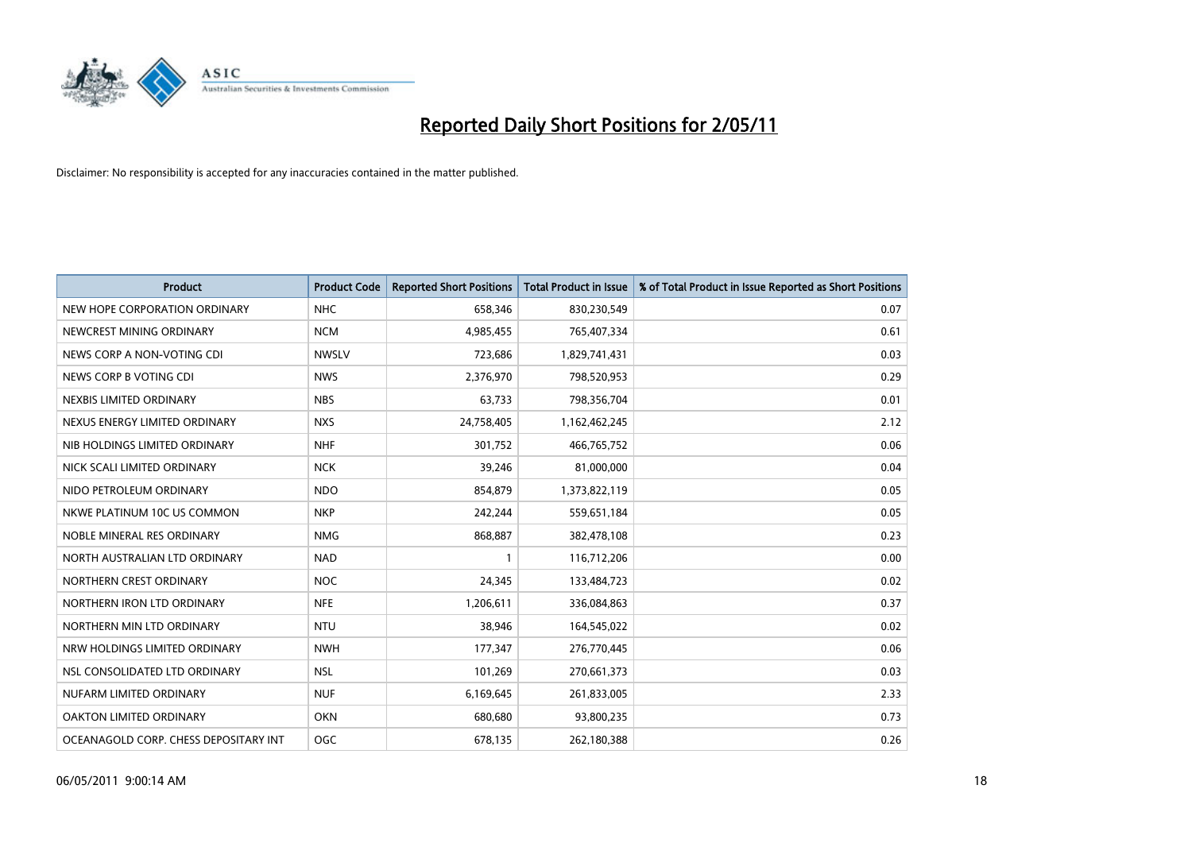

| <b>Product</b>                        | <b>Product Code</b> | <b>Reported Short Positions</b> | Total Product in Issue | % of Total Product in Issue Reported as Short Positions |
|---------------------------------------|---------------------|---------------------------------|------------------------|---------------------------------------------------------|
| NEW HOPE CORPORATION ORDINARY         | <b>NHC</b>          | 658,346                         | 830,230,549            | 0.07                                                    |
| NEWCREST MINING ORDINARY              | <b>NCM</b>          | 4,985,455                       | 765,407,334            | 0.61                                                    |
| NEWS CORP A NON-VOTING CDI            | <b>NWSLV</b>        | 723,686                         | 1,829,741,431          | 0.03                                                    |
| NEWS CORP B VOTING CDI                | <b>NWS</b>          | 2,376,970                       | 798,520,953            | 0.29                                                    |
| NEXBIS LIMITED ORDINARY               | <b>NBS</b>          | 63,733                          | 798,356,704            | 0.01                                                    |
| NEXUS ENERGY LIMITED ORDINARY         | <b>NXS</b>          | 24,758,405                      | 1,162,462,245          | 2.12                                                    |
| NIB HOLDINGS LIMITED ORDINARY         | <b>NHF</b>          | 301,752                         | 466,765,752            | 0.06                                                    |
| NICK SCALI LIMITED ORDINARY           | <b>NCK</b>          | 39,246                          | 81,000,000             | 0.04                                                    |
| NIDO PETROLEUM ORDINARY               | <b>NDO</b>          | 854,879                         | 1,373,822,119          | 0.05                                                    |
| NKWE PLATINUM 10C US COMMON           | <b>NKP</b>          | 242,244                         | 559,651,184            | 0.05                                                    |
| NOBLE MINERAL RES ORDINARY            | <b>NMG</b>          | 868,887                         | 382,478,108            | 0.23                                                    |
| NORTH AUSTRALIAN LTD ORDINARY         | <b>NAD</b>          |                                 | 116,712,206            | 0.00                                                    |
| NORTHERN CREST ORDINARY               | <b>NOC</b>          | 24,345                          | 133,484,723            | 0.02                                                    |
| NORTHERN IRON LTD ORDINARY            | <b>NFE</b>          | 1,206,611                       | 336,084,863            | 0.37                                                    |
| NORTHERN MIN LTD ORDINARY             | <b>NTU</b>          | 38,946                          | 164,545,022            | 0.02                                                    |
| NRW HOLDINGS LIMITED ORDINARY         | <b>NWH</b>          | 177,347                         | 276,770,445            | 0.06                                                    |
| NSL CONSOLIDATED LTD ORDINARY         | <b>NSL</b>          | 101,269                         | 270,661,373            | 0.03                                                    |
| NUFARM LIMITED ORDINARY               | <b>NUF</b>          | 6,169,645                       | 261,833,005            | 2.33                                                    |
| OAKTON LIMITED ORDINARY               | <b>OKN</b>          | 680,680                         | 93,800,235             | 0.73                                                    |
| OCEANAGOLD CORP. CHESS DEPOSITARY INT | <b>OGC</b>          | 678,135                         | 262,180,388            | 0.26                                                    |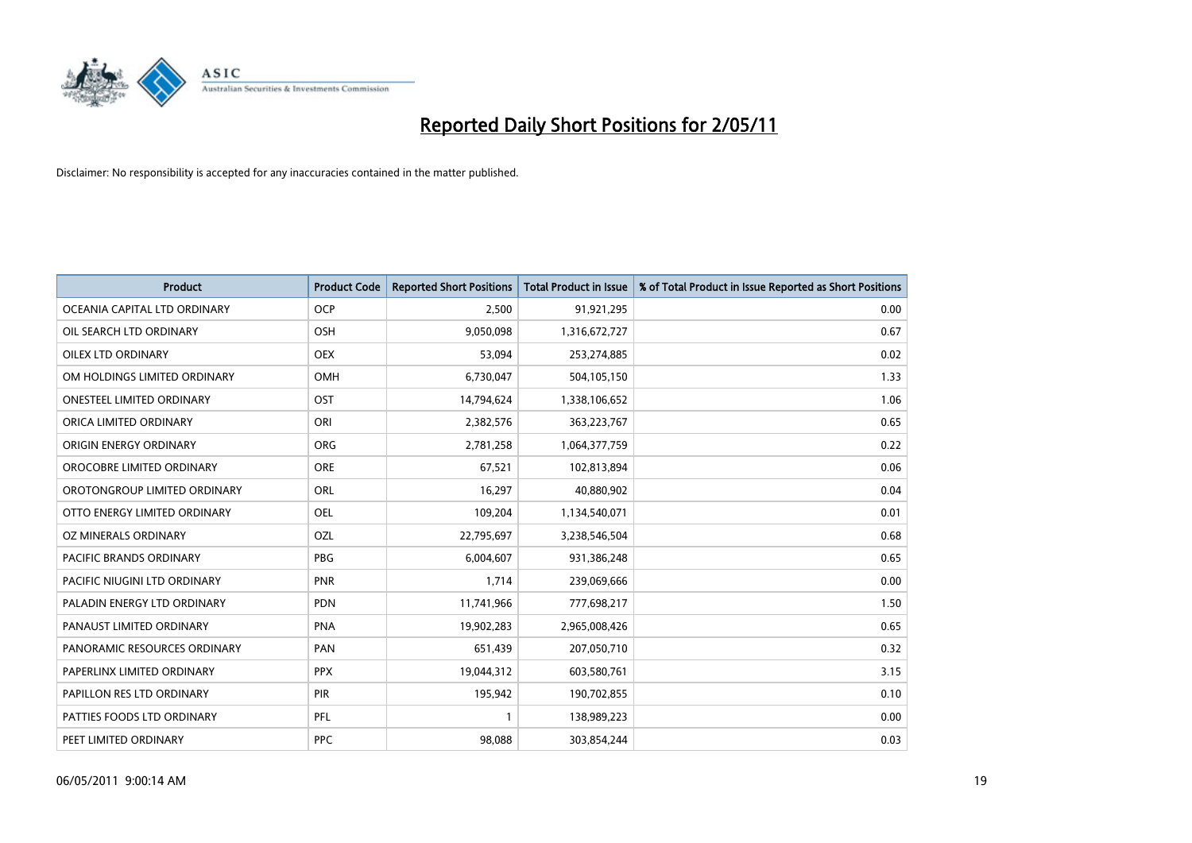

| <b>Product</b>                   | <b>Product Code</b> | <b>Reported Short Positions</b> | <b>Total Product in Issue</b> | % of Total Product in Issue Reported as Short Positions |
|----------------------------------|---------------------|---------------------------------|-------------------------------|---------------------------------------------------------|
| OCEANIA CAPITAL LTD ORDINARY     | <b>OCP</b>          | 2,500                           | 91,921,295                    | 0.00                                                    |
| OIL SEARCH LTD ORDINARY          | <b>OSH</b>          | 9,050,098                       | 1,316,672,727                 | 0.67                                                    |
| <b>OILEX LTD ORDINARY</b>        | <b>OEX</b>          | 53.094                          | 253,274,885                   | 0.02                                                    |
| OM HOLDINGS LIMITED ORDINARY     | <b>OMH</b>          | 6,730,047                       | 504,105,150                   | 1.33                                                    |
| <b>ONESTEEL LIMITED ORDINARY</b> | OST                 | 14,794,624                      | 1,338,106,652                 | 1.06                                                    |
| ORICA LIMITED ORDINARY           | ORI                 | 2,382,576                       | 363,223,767                   | 0.65                                                    |
| ORIGIN ENERGY ORDINARY           | <b>ORG</b>          | 2,781,258                       | 1,064,377,759                 | 0.22                                                    |
| OROCOBRE LIMITED ORDINARY        | <b>ORE</b>          | 67,521                          | 102,813,894                   | 0.06                                                    |
| OROTONGROUP LIMITED ORDINARY     | ORL                 | 16,297                          | 40,880,902                    | 0.04                                                    |
| OTTO ENERGY LIMITED ORDINARY     | <b>OEL</b>          | 109,204                         | 1,134,540,071                 | 0.01                                                    |
| OZ MINERALS ORDINARY             | OZL                 | 22,795,697                      | 3,238,546,504                 | 0.68                                                    |
| PACIFIC BRANDS ORDINARY          | <b>PBG</b>          | 6,004,607                       | 931,386,248                   | 0.65                                                    |
| PACIFIC NIUGINI LTD ORDINARY     | PNR                 | 1,714                           | 239,069,666                   | 0.00                                                    |
| PALADIN ENERGY LTD ORDINARY      | <b>PDN</b>          | 11,741,966                      | 777,698,217                   | 1.50                                                    |
| PANAUST LIMITED ORDINARY         | <b>PNA</b>          | 19,902,283                      | 2,965,008,426                 | 0.65                                                    |
| PANORAMIC RESOURCES ORDINARY     | PAN                 | 651,439                         | 207,050,710                   | 0.32                                                    |
| PAPERLINX LIMITED ORDINARY       | <b>PPX</b>          | 19,044,312                      | 603,580,761                   | 3.15                                                    |
| PAPILLON RES LTD ORDINARY        | <b>PIR</b>          | 195,942                         | 190,702,855                   | 0.10                                                    |
| PATTIES FOODS LTD ORDINARY       | PFL                 |                                 | 138,989,223                   | 0.00                                                    |
| PEET LIMITED ORDINARY            | <b>PPC</b>          | 98,088                          | 303,854,244                   | 0.03                                                    |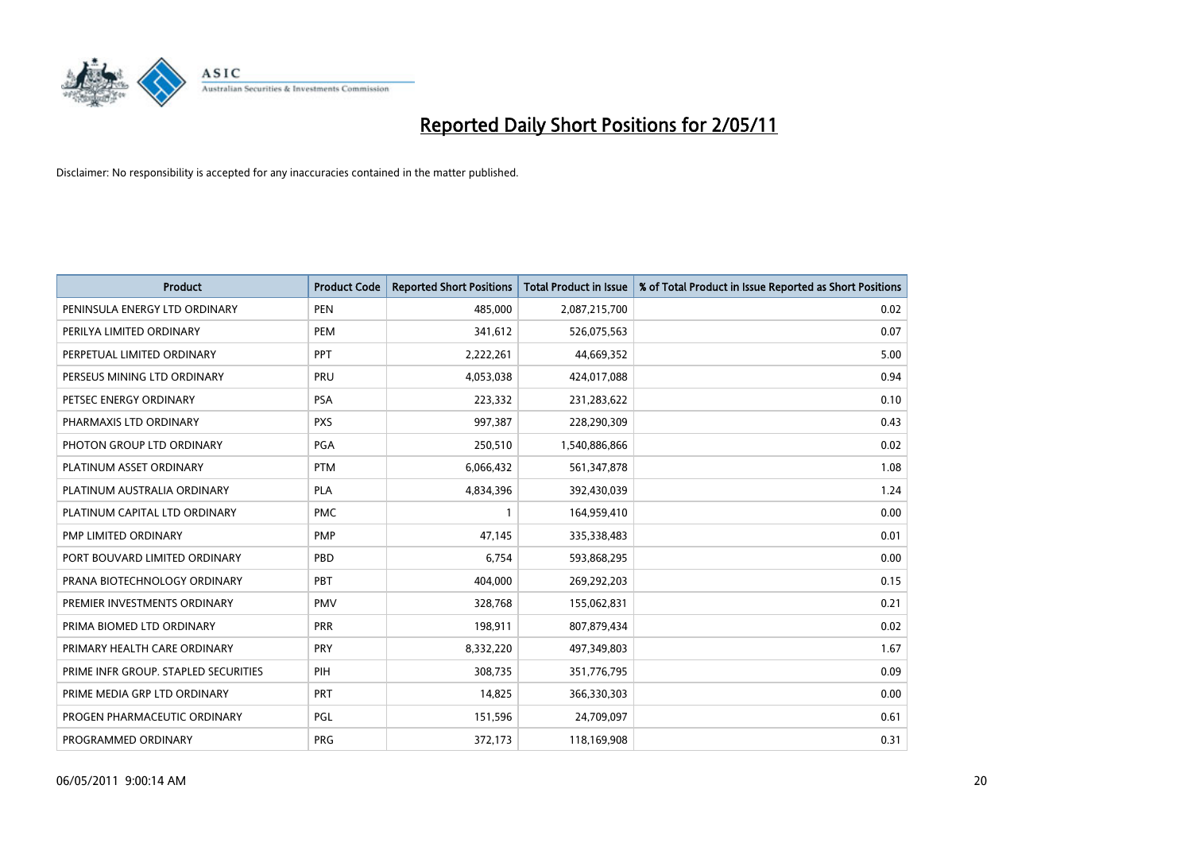

| <b>Product</b>                       | <b>Product Code</b> | <b>Reported Short Positions</b> | <b>Total Product in Issue</b> | % of Total Product in Issue Reported as Short Positions |
|--------------------------------------|---------------------|---------------------------------|-------------------------------|---------------------------------------------------------|
| PENINSULA ENERGY LTD ORDINARY        | <b>PEN</b>          | 485,000                         | 2,087,215,700                 | 0.02                                                    |
| PERILYA LIMITED ORDINARY             | PEM                 | 341,612                         | 526,075,563                   | 0.07                                                    |
| PERPETUAL LIMITED ORDINARY           | PPT                 | 2,222,261                       | 44,669,352                    | 5.00                                                    |
| PERSEUS MINING LTD ORDINARY          | PRU                 | 4,053,038                       | 424,017,088                   | 0.94                                                    |
| PETSEC ENERGY ORDINARY               | <b>PSA</b>          | 223,332                         | 231,283,622                   | 0.10                                                    |
| PHARMAXIS LTD ORDINARY               | <b>PXS</b>          | 997,387                         | 228,290,309                   | 0.43                                                    |
| PHOTON GROUP LTD ORDINARY            | PGA                 | 250,510                         | 1,540,886,866                 | 0.02                                                    |
| PLATINUM ASSET ORDINARY              | <b>PTM</b>          | 6,066,432                       | 561,347,878                   | 1.08                                                    |
| PLATINUM AUSTRALIA ORDINARY          | PLA                 | 4,834,396                       | 392,430,039                   | 1.24                                                    |
| PLATINUM CAPITAL LTD ORDINARY        | <b>PMC</b>          |                                 | 164,959,410                   | 0.00                                                    |
| PMP LIMITED ORDINARY                 | <b>PMP</b>          | 47,145                          | 335,338,483                   | 0.01                                                    |
| PORT BOUVARD LIMITED ORDINARY        | PBD                 | 6,754                           | 593,868,295                   | 0.00                                                    |
| PRANA BIOTECHNOLOGY ORDINARY         | PBT                 | 404,000                         | 269,292,203                   | 0.15                                                    |
| PREMIER INVESTMENTS ORDINARY         | <b>PMV</b>          | 328,768                         | 155,062,831                   | 0.21                                                    |
| PRIMA BIOMED LTD ORDINARY            | <b>PRR</b>          | 198,911                         | 807,879,434                   | 0.02                                                    |
| PRIMARY HEALTH CARE ORDINARY         | PRY                 | 8,332,220                       | 497,349,803                   | 1.67                                                    |
| PRIME INFR GROUP. STAPLED SECURITIES | PIH                 | 308,735                         | 351,776,795                   | 0.09                                                    |
| PRIME MEDIA GRP LTD ORDINARY         | PRT                 | 14,825                          | 366,330,303                   | 0.00                                                    |
| PROGEN PHARMACEUTIC ORDINARY         | PGL                 | 151,596                         | 24,709,097                    | 0.61                                                    |
| PROGRAMMED ORDINARY                  | <b>PRG</b>          | 372,173                         | 118,169,908                   | 0.31                                                    |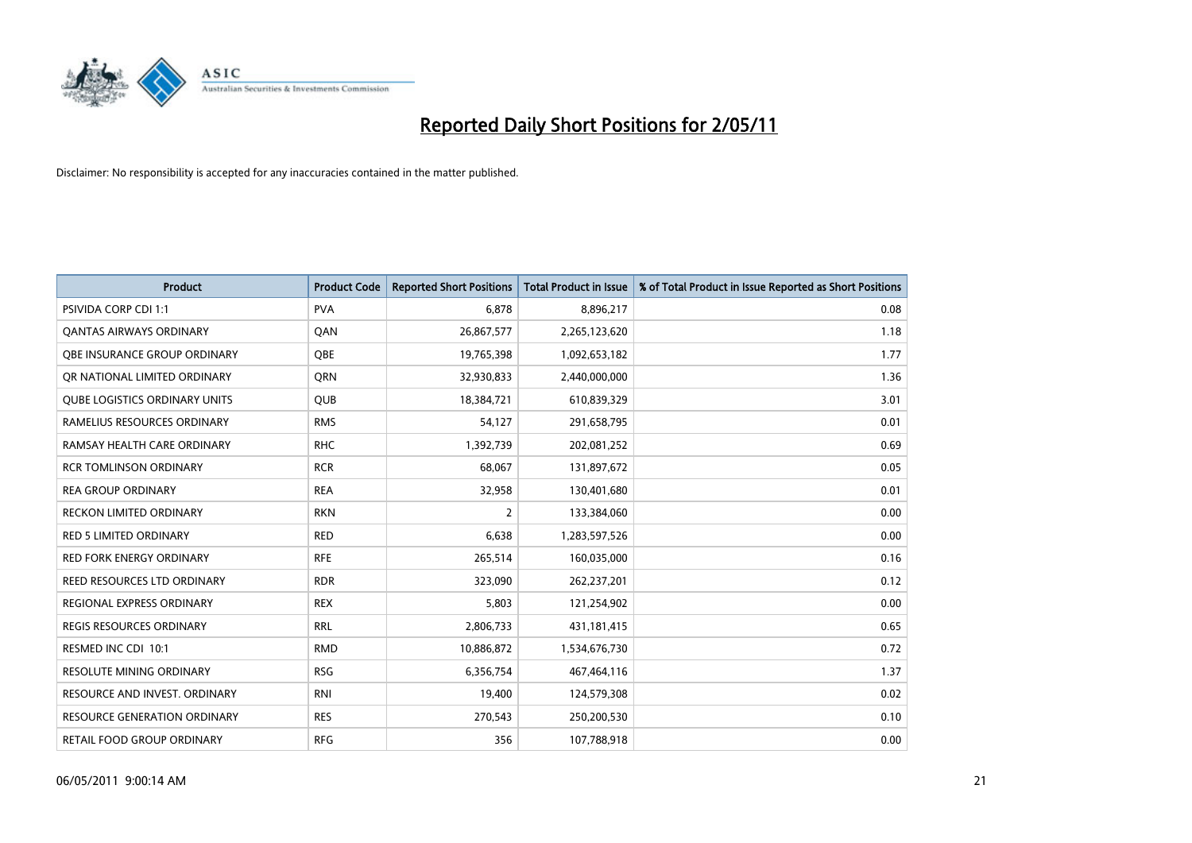

| <b>Product</b>                       | <b>Product Code</b> | <b>Reported Short Positions</b> | <b>Total Product in Issue</b> | % of Total Product in Issue Reported as Short Positions |
|--------------------------------------|---------------------|---------------------------------|-------------------------------|---------------------------------------------------------|
| <b>PSIVIDA CORP CDI 1:1</b>          | <b>PVA</b>          | 6,878                           | 8,896,217                     | 0.08                                                    |
| <b>QANTAS AIRWAYS ORDINARY</b>       | QAN                 | 26,867,577                      | 2,265,123,620                 | 1.18                                                    |
| OBE INSURANCE GROUP ORDINARY         | OBE                 | 19,765,398                      | 1,092,653,182                 | 1.77                                                    |
| OR NATIONAL LIMITED ORDINARY         | <b>ORN</b>          | 32,930,833                      | 2,440,000,000                 | 1.36                                                    |
| <b>QUBE LOGISTICS ORDINARY UNITS</b> | <b>QUB</b>          | 18,384,721                      | 610,839,329                   | 3.01                                                    |
| RAMELIUS RESOURCES ORDINARY          | <b>RMS</b>          | 54,127                          | 291,658,795                   | 0.01                                                    |
| RAMSAY HEALTH CARE ORDINARY          | <b>RHC</b>          | 1,392,739                       | 202,081,252                   | 0.69                                                    |
| <b>RCR TOMLINSON ORDINARY</b>        | <b>RCR</b>          | 68,067                          | 131,897,672                   | 0.05                                                    |
| <b>REA GROUP ORDINARY</b>            | <b>REA</b>          | 32,958                          | 130,401,680                   | 0.01                                                    |
| <b>RECKON LIMITED ORDINARY</b>       | <b>RKN</b>          | $\overline{2}$                  | 133,384,060                   | 0.00                                                    |
| RED 5 LIMITED ORDINARY               | <b>RED</b>          | 6,638                           | 1,283,597,526                 | 0.00                                                    |
| <b>RED FORK ENERGY ORDINARY</b>      | <b>RFE</b>          | 265,514                         | 160,035,000                   | 0.16                                                    |
| REED RESOURCES LTD ORDINARY          | <b>RDR</b>          | 323,090                         | 262,237,201                   | 0.12                                                    |
| <b>REGIONAL EXPRESS ORDINARY</b>     | <b>REX</b>          | 5,803                           | 121,254,902                   | 0.00                                                    |
| <b>REGIS RESOURCES ORDINARY</b>      | <b>RRL</b>          | 2,806,733                       | 431,181,415                   | 0.65                                                    |
| RESMED INC CDI 10:1                  | <b>RMD</b>          | 10,886,872                      | 1,534,676,730                 | 0.72                                                    |
| RESOLUTE MINING ORDINARY             | <b>RSG</b>          | 6,356,754                       | 467,464,116                   | 1.37                                                    |
| RESOURCE AND INVEST. ORDINARY        | <b>RNI</b>          | 19,400                          | 124,579,308                   | 0.02                                                    |
| RESOURCE GENERATION ORDINARY         | <b>RES</b>          | 270,543                         | 250,200,530                   | 0.10                                                    |
| RETAIL FOOD GROUP ORDINARY           | <b>RFG</b>          | 356                             | 107,788,918                   | 0.00                                                    |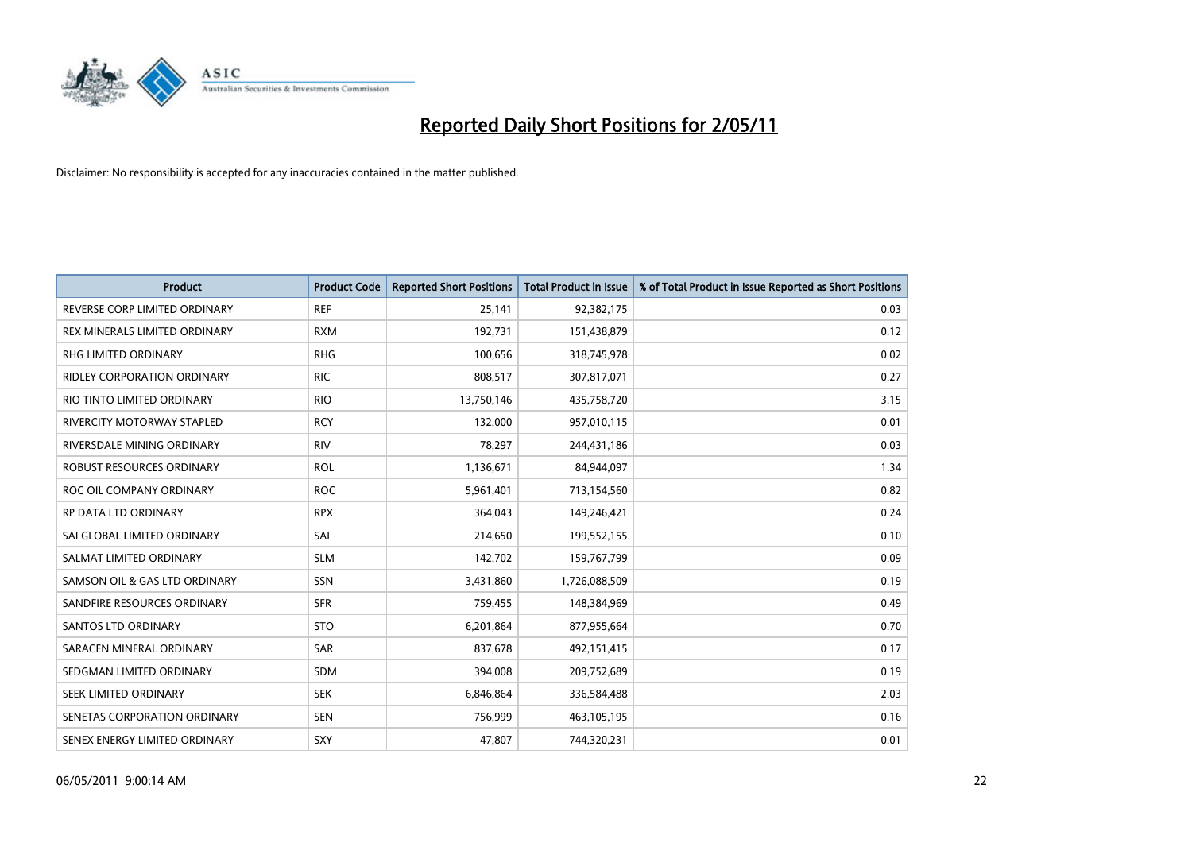

| <b>Product</b>                     | <b>Product Code</b> | <b>Reported Short Positions</b> | <b>Total Product in Issue</b> | % of Total Product in Issue Reported as Short Positions |
|------------------------------------|---------------------|---------------------------------|-------------------------------|---------------------------------------------------------|
| REVERSE CORP LIMITED ORDINARY      | <b>REF</b>          | 25,141                          | 92,382,175                    | 0.03                                                    |
| REX MINERALS LIMITED ORDINARY      | <b>RXM</b>          | 192,731                         | 151,438,879                   | 0.12                                                    |
| RHG LIMITED ORDINARY               | <b>RHG</b>          | 100,656                         | 318,745,978                   | 0.02                                                    |
| <b>RIDLEY CORPORATION ORDINARY</b> | <b>RIC</b>          | 808,517                         | 307,817,071                   | 0.27                                                    |
| RIO TINTO LIMITED ORDINARY         | <b>RIO</b>          | 13,750,146                      | 435,758,720                   | 3.15                                                    |
| <b>RIVERCITY MOTORWAY STAPLED</b>  | <b>RCY</b>          | 132,000                         | 957,010,115                   | 0.01                                                    |
| RIVERSDALE MINING ORDINARY         | <b>RIV</b>          | 78,297                          | 244,431,186                   | 0.03                                                    |
| ROBUST RESOURCES ORDINARY          | <b>ROL</b>          | 1,136,671                       | 84,944,097                    | 1.34                                                    |
| ROC OIL COMPANY ORDINARY           | <b>ROC</b>          | 5,961,401                       | 713,154,560                   | 0.82                                                    |
| <b>RP DATA LTD ORDINARY</b>        | <b>RPX</b>          | 364,043                         | 149,246,421                   | 0.24                                                    |
| SAI GLOBAL LIMITED ORDINARY        | SAI                 | 214,650                         | 199,552,155                   | 0.10                                                    |
| SALMAT LIMITED ORDINARY            | <b>SLM</b>          | 142,702                         | 159,767,799                   | 0.09                                                    |
| SAMSON OIL & GAS LTD ORDINARY      | <b>SSN</b>          | 3,431,860                       | 1,726,088,509                 | 0.19                                                    |
| SANDFIRE RESOURCES ORDINARY        | <b>SFR</b>          | 759,455                         | 148,384,969                   | 0.49                                                    |
| SANTOS LTD ORDINARY                | <b>STO</b>          | 6,201,864                       | 877,955,664                   | 0.70                                                    |
| SARACEN MINERAL ORDINARY           | <b>SAR</b>          | 837,678                         | 492,151,415                   | 0.17                                                    |
| SEDGMAN LIMITED ORDINARY           | <b>SDM</b>          | 394,008                         | 209,752,689                   | 0.19                                                    |
| SEEK LIMITED ORDINARY              | <b>SEK</b>          | 6,846,864                       | 336,584,488                   | 2.03                                                    |
| SENETAS CORPORATION ORDINARY       | <b>SEN</b>          | 756,999                         | 463,105,195                   | 0.16                                                    |
| SENEX ENERGY LIMITED ORDINARY      | SXY                 | 47,807                          | 744,320,231                   | 0.01                                                    |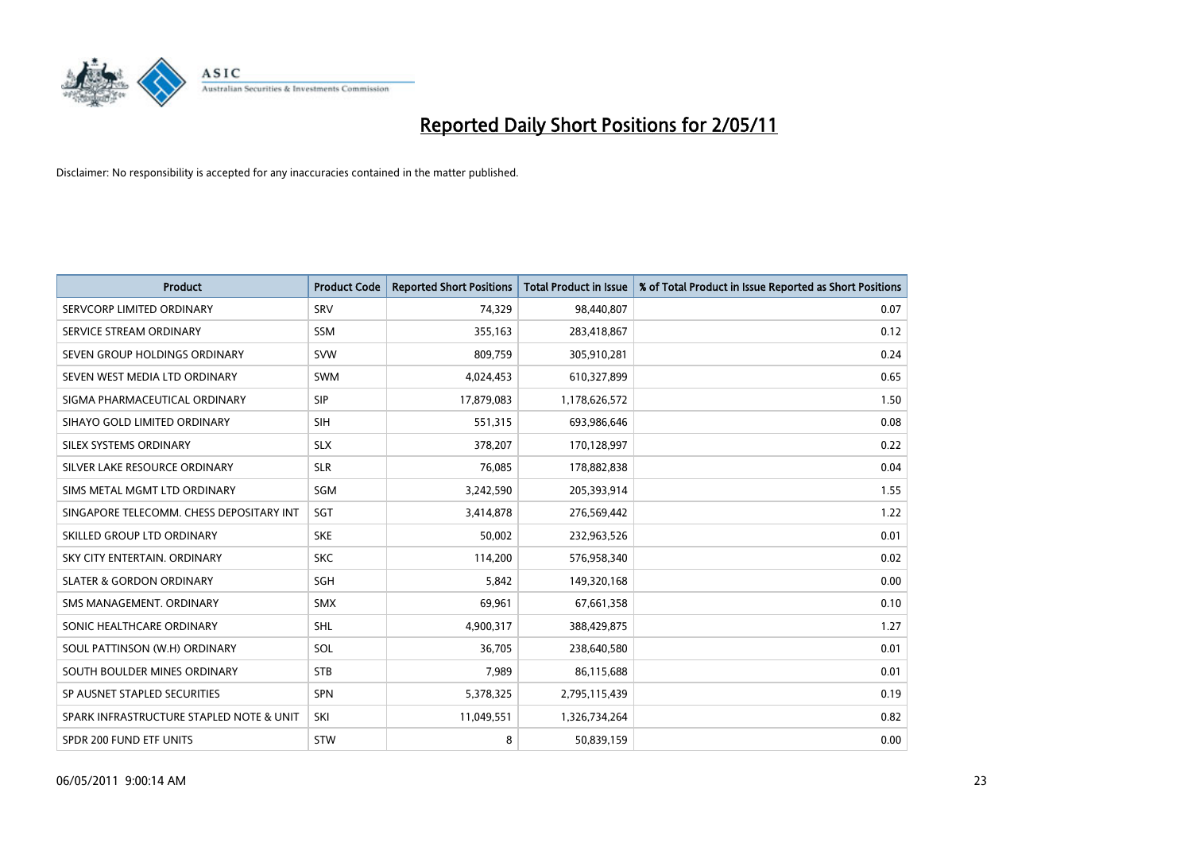

| <b>Product</b>                           | <b>Product Code</b> | <b>Reported Short Positions</b> | <b>Total Product in Issue</b> | % of Total Product in Issue Reported as Short Positions |
|------------------------------------------|---------------------|---------------------------------|-------------------------------|---------------------------------------------------------|
| SERVCORP LIMITED ORDINARY                | SRV                 | 74,329                          | 98,440,807                    | 0.07                                                    |
| SERVICE STREAM ORDINARY                  | <b>SSM</b>          | 355,163                         | 283,418,867                   | 0.12                                                    |
| SEVEN GROUP HOLDINGS ORDINARY            | <b>SVW</b>          | 809,759                         | 305,910,281                   | 0.24                                                    |
| SEVEN WEST MEDIA LTD ORDINARY            | <b>SWM</b>          | 4,024,453                       | 610,327,899                   | 0.65                                                    |
| SIGMA PHARMACEUTICAL ORDINARY            | SIP                 | 17,879,083                      | 1,178,626,572                 | 1.50                                                    |
| SIHAYO GOLD LIMITED ORDINARY             | <b>SIH</b>          | 551,315                         | 693,986,646                   | 0.08                                                    |
| SILEX SYSTEMS ORDINARY                   | <b>SLX</b>          | 378.207                         | 170,128,997                   | 0.22                                                    |
| SILVER LAKE RESOURCE ORDINARY            | <b>SLR</b>          | 76,085                          | 178,882,838                   | 0.04                                                    |
| SIMS METAL MGMT LTD ORDINARY             | SGM                 | 3,242,590                       | 205,393,914                   | 1.55                                                    |
| SINGAPORE TELECOMM. CHESS DEPOSITARY INT | SGT                 | 3,414,878                       | 276,569,442                   | 1.22                                                    |
| SKILLED GROUP LTD ORDINARY               | <b>SKE</b>          | 50,002                          | 232,963,526                   | 0.01                                                    |
| SKY CITY ENTERTAIN, ORDINARY             | <b>SKC</b>          | 114,200                         | 576,958,340                   | 0.02                                                    |
| <b>SLATER &amp; GORDON ORDINARY</b>      | SGH                 | 5.842                           | 149,320,168                   | 0.00                                                    |
| SMS MANAGEMENT, ORDINARY                 | <b>SMX</b>          | 69,961                          | 67,661,358                    | 0.10                                                    |
| SONIC HEALTHCARE ORDINARY                | <b>SHL</b>          | 4,900,317                       | 388,429,875                   | 1.27                                                    |
| SOUL PATTINSON (W.H) ORDINARY            | SOL                 | 36.705                          | 238,640,580                   | 0.01                                                    |
| SOUTH BOULDER MINES ORDINARY             | <b>STB</b>          | 7,989                           | 86,115,688                    | 0.01                                                    |
| SP AUSNET STAPLED SECURITIES             | <b>SPN</b>          | 5,378,325                       | 2,795,115,439                 | 0.19                                                    |
| SPARK INFRASTRUCTURE STAPLED NOTE & UNIT | SKI                 | 11,049,551                      | 1,326,734,264                 | 0.82                                                    |
| SPDR 200 FUND ETF UNITS                  | STW                 | 8                               | 50,839,159                    | 0.00                                                    |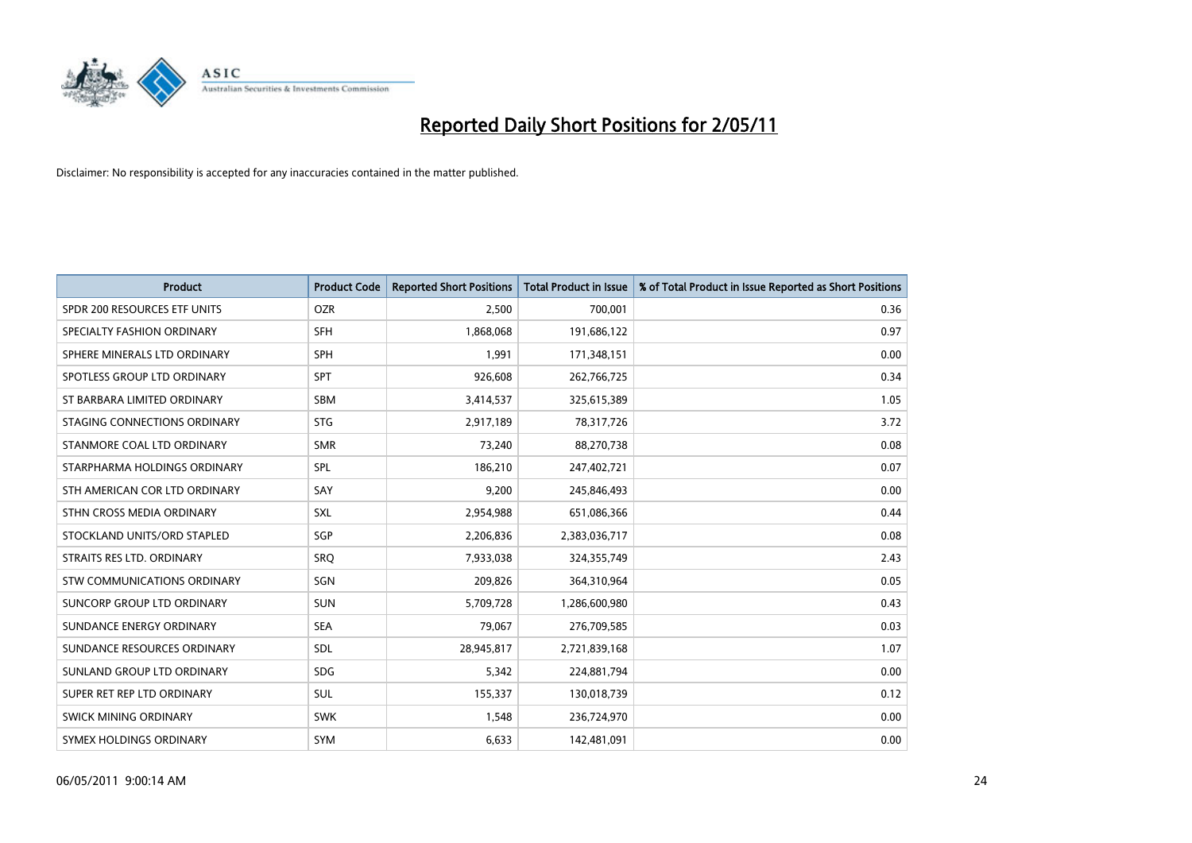

| <b>Product</b>                    | <b>Product Code</b> | <b>Reported Short Positions</b> | <b>Total Product in Issue</b> | % of Total Product in Issue Reported as Short Positions |
|-----------------------------------|---------------------|---------------------------------|-------------------------------|---------------------------------------------------------|
| SPDR 200 RESOURCES ETF UNITS      | <b>OZR</b>          | 2.500                           | 700,001                       | 0.36                                                    |
| SPECIALTY FASHION ORDINARY        | <b>SFH</b>          | 1,868,068                       | 191,686,122                   | 0.97                                                    |
| SPHERE MINERALS LTD ORDINARY      | <b>SPH</b>          | 1,991                           | 171,348,151                   | 0.00                                                    |
| SPOTLESS GROUP LTD ORDINARY       | <b>SPT</b>          | 926,608                         | 262,766,725                   | 0.34                                                    |
| ST BARBARA LIMITED ORDINARY       | SBM                 | 3,414,537                       | 325,615,389                   | 1.05                                                    |
| STAGING CONNECTIONS ORDINARY      | <b>STG</b>          | 2,917,189                       | 78,317,726                    | 3.72                                                    |
| STANMORE COAL LTD ORDINARY        | <b>SMR</b>          | 73,240                          | 88,270,738                    | 0.08                                                    |
| STARPHARMA HOLDINGS ORDINARY      | SPL                 | 186,210                         | 247,402,721                   | 0.07                                                    |
| STH AMERICAN COR LTD ORDINARY     | SAY                 | 9,200                           | 245,846,493                   | 0.00                                                    |
| STHN CROSS MEDIA ORDINARY         | <b>SXL</b>          | 2,954,988                       | 651,086,366                   | 0.44                                                    |
| STOCKLAND UNITS/ORD STAPLED       | SGP                 | 2,206,836                       | 2,383,036,717                 | 0.08                                                    |
| STRAITS RES LTD. ORDINARY         | SRO                 | 7,933,038                       | 324,355,749                   | 2.43                                                    |
| STW COMMUNICATIONS ORDINARY       | SGN                 | 209,826                         | 364,310,964                   | 0.05                                                    |
| <b>SUNCORP GROUP LTD ORDINARY</b> | <b>SUN</b>          | 5,709,728                       | 1,286,600,980                 | 0.43                                                    |
| SUNDANCE ENERGY ORDINARY          | <b>SEA</b>          | 79.067                          | 276,709,585                   | 0.03                                                    |
| SUNDANCE RESOURCES ORDINARY       | <b>SDL</b>          | 28,945,817                      | 2,721,839,168                 | 1.07                                                    |
| SUNLAND GROUP LTD ORDINARY        | <b>SDG</b>          | 5,342                           | 224,881,794                   | 0.00                                                    |
| SUPER RET REP LTD ORDINARY        | <b>SUL</b>          | 155,337                         | 130,018,739                   | 0.12                                                    |
| <b>SWICK MINING ORDINARY</b>      | <b>SWK</b>          | 1,548                           | 236,724,970                   | 0.00                                                    |
| SYMEX HOLDINGS ORDINARY           | <b>SYM</b>          | 6,633                           | 142,481,091                   | 0.00                                                    |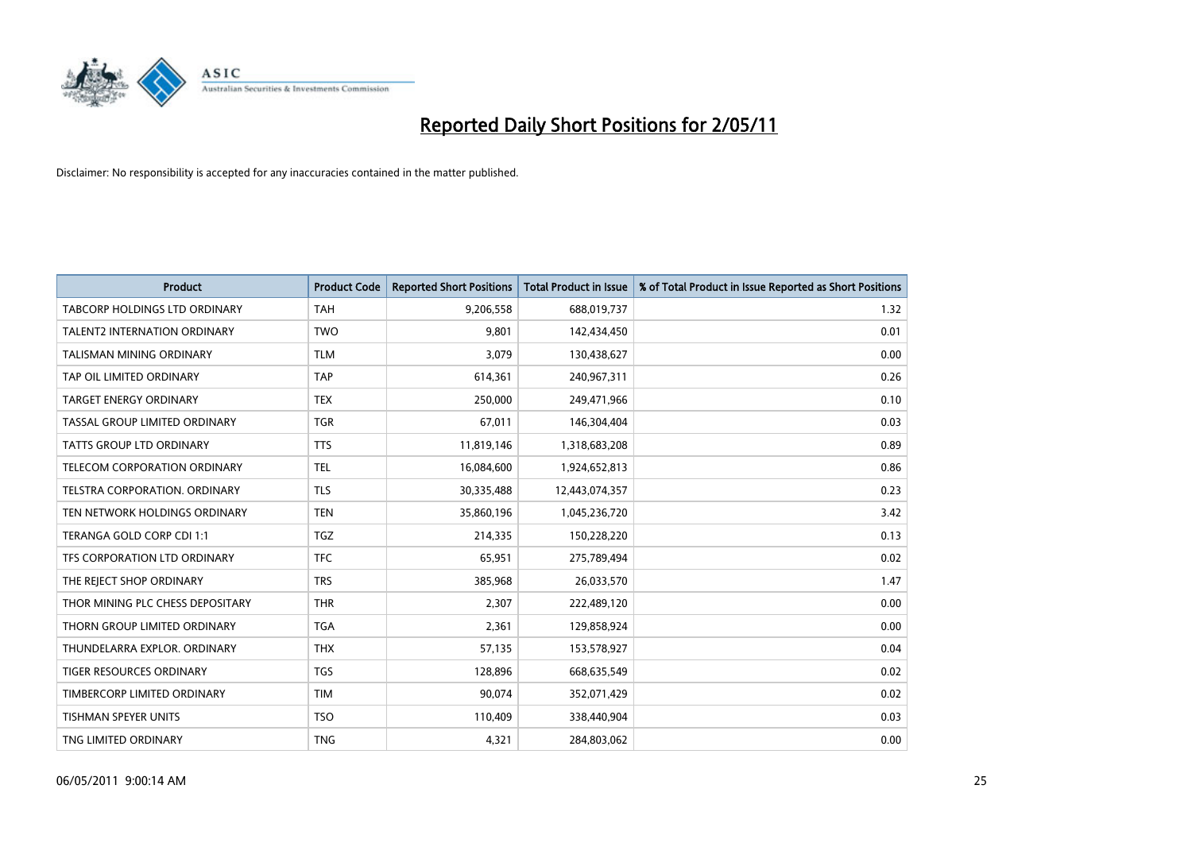

| <b>Product</b>                   | <b>Product Code</b> | <b>Reported Short Positions</b> | <b>Total Product in Issue</b> | % of Total Product in Issue Reported as Short Positions |
|----------------------------------|---------------------|---------------------------------|-------------------------------|---------------------------------------------------------|
| TABCORP HOLDINGS LTD ORDINARY    | <b>TAH</b>          | 9,206,558                       | 688,019,737                   | 1.32                                                    |
| TALENT2 INTERNATION ORDINARY     | <b>TWO</b>          | 9,801                           | 142,434,450                   | 0.01                                                    |
| <b>TALISMAN MINING ORDINARY</b>  | <b>TLM</b>          | 3,079                           | 130,438,627                   | 0.00                                                    |
| TAP OIL LIMITED ORDINARY         | <b>TAP</b>          | 614,361                         | 240,967,311                   | 0.26                                                    |
| <b>TARGET ENERGY ORDINARY</b>    | <b>TEX</b>          | 250,000                         | 249,471,966                   | 0.10                                                    |
| TASSAL GROUP LIMITED ORDINARY    | <b>TGR</b>          | 67,011                          | 146,304,404                   | 0.03                                                    |
| TATTS GROUP LTD ORDINARY         | <b>TTS</b>          | 11,819,146                      | 1,318,683,208                 | 0.89                                                    |
| TELECOM CORPORATION ORDINARY     | <b>TEL</b>          | 16,084,600                      | 1,924,652,813                 | 0.86                                                    |
| TELSTRA CORPORATION, ORDINARY    | <b>TLS</b>          | 30,335,488                      | 12,443,074,357                | 0.23                                                    |
| TEN NETWORK HOLDINGS ORDINARY    | <b>TEN</b>          | 35,860,196                      | 1,045,236,720                 | 3.42                                                    |
| TERANGA GOLD CORP CDI 1:1        | <b>TGZ</b>          | 214,335                         | 150,228,220                   | 0.13                                                    |
| TFS CORPORATION LTD ORDINARY     | <b>TFC</b>          | 65,951                          | 275,789,494                   | 0.02                                                    |
| THE REJECT SHOP ORDINARY         | <b>TRS</b>          | 385,968                         | 26,033,570                    | 1.47                                                    |
| THOR MINING PLC CHESS DEPOSITARY | <b>THR</b>          | 2,307                           | 222,489,120                   | 0.00                                                    |
| THORN GROUP LIMITED ORDINARY     | <b>TGA</b>          | 2,361                           | 129,858,924                   | 0.00                                                    |
| THUNDELARRA EXPLOR, ORDINARY     | <b>THX</b>          | 57,135                          | 153,578,927                   | 0.04                                                    |
| TIGER RESOURCES ORDINARY         | <b>TGS</b>          | 128,896                         | 668,635,549                   | 0.02                                                    |
| TIMBERCORP LIMITED ORDINARY      | <b>TIM</b>          | 90,074                          | 352,071,429                   | 0.02                                                    |
| <b>TISHMAN SPEYER UNITS</b>      | <b>TSO</b>          | 110,409                         | 338,440,904                   | 0.03                                                    |
| TNG LIMITED ORDINARY             | <b>TNG</b>          | 4,321                           | 284,803,062                   | 0.00                                                    |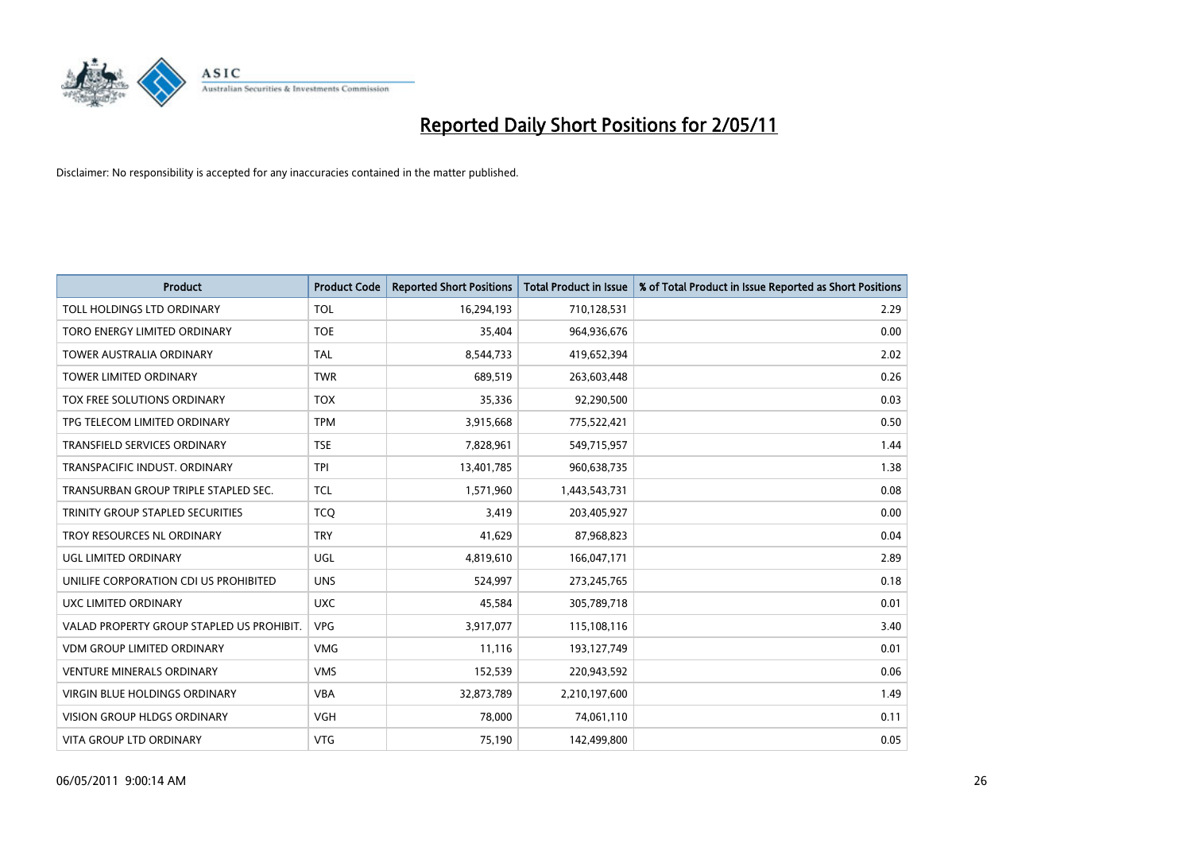

| <b>Product</b>                            | <b>Product Code</b> | <b>Reported Short Positions</b> | Total Product in Issue | % of Total Product in Issue Reported as Short Positions |
|-------------------------------------------|---------------------|---------------------------------|------------------------|---------------------------------------------------------|
| TOLL HOLDINGS LTD ORDINARY                | <b>TOL</b>          | 16,294,193                      | 710,128,531            | 2.29                                                    |
| TORO ENERGY LIMITED ORDINARY              | <b>TOE</b>          | 35,404                          | 964,936,676            | 0.00                                                    |
| <b>TOWER AUSTRALIA ORDINARY</b>           | <b>TAL</b>          | 8,544,733                       | 419,652,394            | 2.02                                                    |
| <b>TOWER LIMITED ORDINARY</b>             | <b>TWR</b>          | 689,519                         | 263,603,448            | 0.26                                                    |
| TOX FREE SOLUTIONS ORDINARY               | <b>TOX</b>          | 35,336                          | 92,290,500             | 0.03                                                    |
| TPG TELECOM LIMITED ORDINARY              | <b>TPM</b>          | 3,915,668                       | 775,522,421            | 0.50                                                    |
| <b>TRANSFIELD SERVICES ORDINARY</b>       | <b>TSE</b>          | 7,828,961                       | 549,715,957            | 1.44                                                    |
| TRANSPACIFIC INDUST, ORDINARY             | <b>TPI</b>          | 13,401,785                      | 960,638,735            | 1.38                                                    |
| TRANSURBAN GROUP TRIPLE STAPLED SEC.      | <b>TCL</b>          | 1,571,960                       | 1,443,543,731          | 0.08                                                    |
| TRINITY GROUP STAPLED SECURITIES          | <b>TCO</b>          | 3,419                           | 203,405,927            | 0.00                                                    |
| TROY RESOURCES NL ORDINARY                | <b>TRY</b>          | 41,629                          | 87,968,823             | 0.04                                                    |
| UGL LIMITED ORDINARY                      | UGL                 | 4,819,610                       | 166,047,171            | 2.89                                                    |
| UNILIFE CORPORATION CDI US PROHIBITED     | <b>UNS</b>          | 524,997                         | 273,245,765            | 0.18                                                    |
| UXC LIMITED ORDINARY                      | <b>UXC</b>          | 45,584                          | 305,789,718            | 0.01                                                    |
| VALAD PROPERTY GROUP STAPLED US PROHIBIT. | <b>VPG</b>          | 3,917,077                       | 115,108,116            | 3.40                                                    |
| <b>VDM GROUP LIMITED ORDINARY</b>         | <b>VMG</b>          | 11,116                          | 193,127,749            | 0.01                                                    |
| <b>VENTURE MINERALS ORDINARY</b>          | <b>VMS</b>          | 152,539                         | 220,943,592            | 0.06                                                    |
| VIRGIN BLUE HOLDINGS ORDINARY             | <b>VBA</b>          | 32,873,789                      | 2,210,197,600          | 1.49                                                    |
| <b>VISION GROUP HLDGS ORDINARY</b>        | <b>VGH</b>          | 78,000                          | 74,061,110             | 0.11                                                    |
| VITA GROUP LTD ORDINARY                   | <b>VTG</b>          | 75,190                          | 142,499,800            | 0.05                                                    |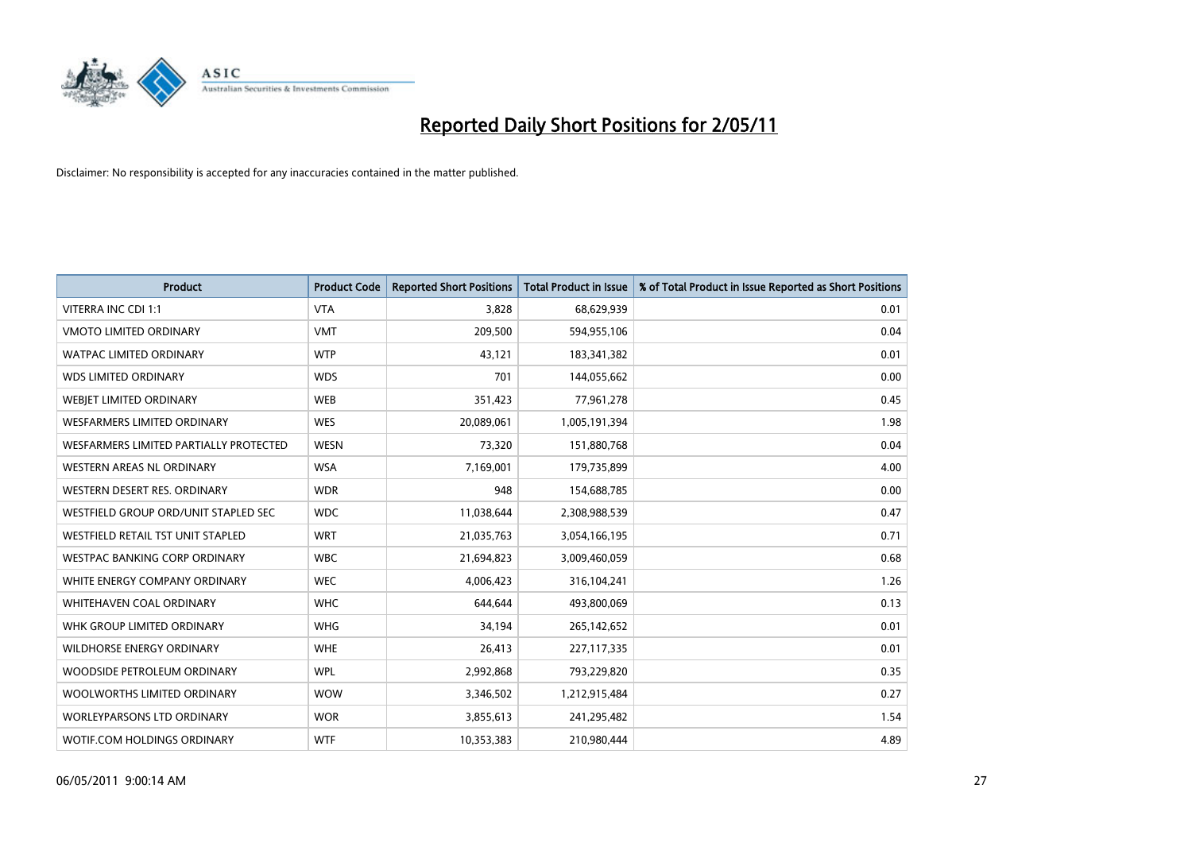

| <b>Product</b>                                | <b>Product Code</b> | <b>Reported Short Positions</b> | <b>Total Product in Issue</b> | % of Total Product in Issue Reported as Short Positions |
|-----------------------------------------------|---------------------|---------------------------------|-------------------------------|---------------------------------------------------------|
| <b>VITERRA INC CDI 1:1</b>                    | <b>VTA</b>          | 3.828                           | 68,629,939                    | 0.01                                                    |
| <b>VMOTO LIMITED ORDINARY</b>                 | <b>VMT</b>          | 209,500                         | 594,955,106                   | 0.04                                                    |
| <b>WATPAC LIMITED ORDINARY</b>                | <b>WTP</b>          | 43,121                          | 183,341,382                   | 0.01                                                    |
| <b>WDS LIMITED ORDINARY</b>                   | <b>WDS</b>          | 701                             | 144,055,662                   | 0.00                                                    |
| WEBJET LIMITED ORDINARY                       | <b>WEB</b>          | 351,423                         | 77,961,278                    | 0.45                                                    |
| <b>WESFARMERS LIMITED ORDINARY</b>            | <b>WES</b>          | 20,089,061                      | 1,005,191,394                 | 1.98                                                    |
| <b>WESFARMERS LIMITED PARTIALLY PROTECTED</b> | <b>WESN</b>         | 73,320                          | 151,880,768                   | 0.04                                                    |
| <b>WESTERN AREAS NL ORDINARY</b>              | <b>WSA</b>          | 7,169,001                       | 179,735,899                   | 4.00                                                    |
| WESTERN DESERT RES. ORDINARY                  | <b>WDR</b>          | 948                             | 154,688,785                   | 0.00                                                    |
| WESTFIELD GROUP ORD/UNIT STAPLED SEC          | <b>WDC</b>          | 11,038,644                      | 2,308,988,539                 | 0.47                                                    |
| WESTFIELD RETAIL TST UNIT STAPLED             | <b>WRT</b>          | 21,035,763                      | 3,054,166,195                 | 0.71                                                    |
| <b>WESTPAC BANKING CORP ORDINARY</b>          | <b>WBC</b>          | 21,694,823                      | 3,009,460,059                 | 0.68                                                    |
| WHITE ENERGY COMPANY ORDINARY                 | <b>WEC</b>          | 4,006,423                       | 316,104,241                   | 1.26                                                    |
| WHITEHAVEN COAL ORDINARY                      | <b>WHC</b>          | 644,644                         | 493,800,069                   | 0.13                                                    |
| WHK GROUP LIMITED ORDINARY                    | <b>WHG</b>          | 34.194                          | 265,142,652                   | 0.01                                                    |
| <b>WILDHORSE ENERGY ORDINARY</b>              | <b>WHE</b>          | 26,413                          | 227,117,335                   | 0.01                                                    |
| WOODSIDE PETROLEUM ORDINARY                   | <b>WPL</b>          | 2,992,868                       | 793,229,820                   | 0.35                                                    |
| WOOLWORTHS LIMITED ORDINARY                   | <b>WOW</b>          | 3,346,502                       | 1,212,915,484                 | 0.27                                                    |
| <b>WORLEYPARSONS LTD ORDINARY</b>             | <b>WOR</b>          | 3,855,613                       | 241,295,482                   | 1.54                                                    |
| WOTIF.COM HOLDINGS ORDINARY                   | <b>WTF</b>          | 10,353,383                      | 210,980,444                   | 4.89                                                    |